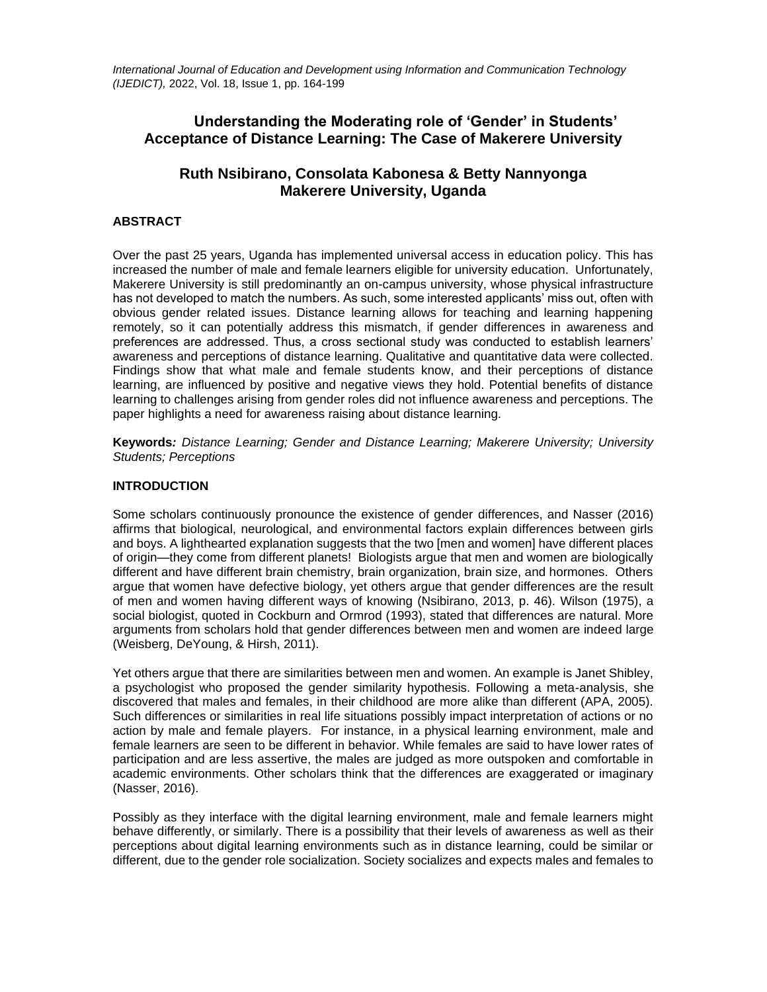*International Journal of Education and Development using Information and Communication Technology (IJEDICT),* 2022, Vol. 18, Issue 1, pp. 164-199

# **Understanding the Moderating role of 'Gender' in Students' Acceptance of Distance Learning: The Case of Makerere University**

# **Ruth Nsibirano, Consolata Kabonesa & Betty Nannyonga Makerere University, Uganda**

# **ABSTRACT**

Over the past 25 years, Uganda has implemented universal access in education policy. This has increased the number of male and female learners eligible for university education. Unfortunately, Makerere University is still predominantly an on-campus university, whose physical infrastructure has not developed to match the numbers. As such, some interested applicants' miss out, often with obvious gender related issues. Distance learning allows for teaching and learning happening remotely, so it can potentially address this mismatch, if gender differences in awareness and preferences are addressed. Thus, a cross sectional study was conducted to establish learners' awareness and perceptions of distance learning. Qualitative and quantitative data were collected. Findings show that what male and female students know, and their perceptions of distance learning, are influenced by positive and negative views they hold. Potential benefits of distance learning to challenges arising from gender roles did not influence awareness and perceptions. The paper highlights a need for awareness raising about distance learning.

**Keywords***: Distance Learning; Gender and Distance Learning; Makerere University; University Students; Perceptions*

### **INTRODUCTION**

Some scholars continuously pronounce the existence of gender differences, and Nasser [\(2016\)](#page-32-0) affirms that biological, neurological, and environmental factors explain differences between girls and boys. A lighthearted explanation suggests that the two [men and women] have different places of origin—they come from different planets! Biologists argue that men and women are biologically different and have different brain chemistry, brain organization, brain size, and hormones. Others argue that women have defective biology, yet others argue that gender differences are the result of men and women having different ways of knowing (Nsibirano, 2013, p. 46). Wilson (1975), a social biologist, quoted in Cockburn and Ormrod [\(1993\)](#page-27-0), stated that differences are natural. More arguments from scholars hold that gender differences between men and women are indeed large (Weisberg, DeYoung, & Hirsh, 2011).

Yet others argue that there are similarities between men and women. An example is Janet Shibley, a psychologist who proposed the gender similarity hypothesis. Following a meta-analysis, she discovered that males and females, in their childhood are more alike than different (APA, 2005). Such differences or similarities in real life situations possibly impact interpretation of actions or no action by male and female players. For instance, in a physical learning environment, male and female learners are seen to be different in behavior. While females are said to have lower rates of participation and are less assertive, the males are judged as more outspoken and comfortable in academic environments. Other scholars think that the differences are exaggerated or imaginary (Nasser, 2016).

Possibly as they interface with the digital learning environment, male and female learners might behave differently, or similarly. There is a possibility that their levels of awareness as well as their perceptions about digital learning environments such as in distance learning, could be similar or different, due to the gender role socialization. Society socializes and expects males and females to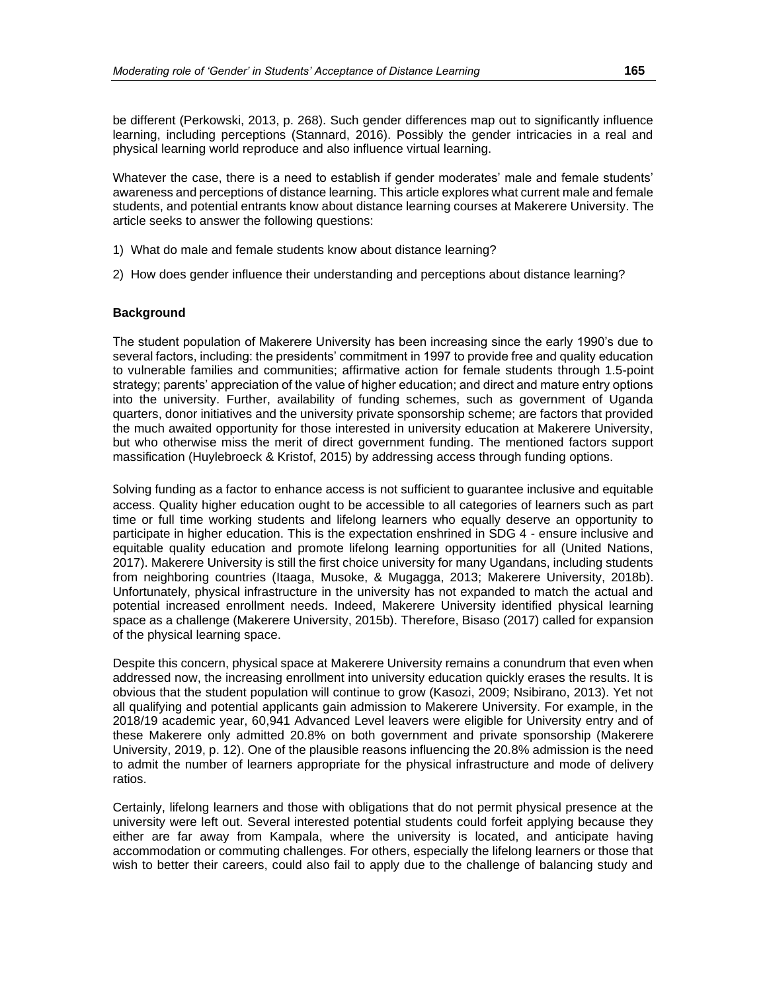be different (Perkowski, 2013, p. 268). Such gender differences map out to significantly influence learning, including perceptions (Stannard, 2016). Possibly the gender intricacies in a real and physical learning world reproduce and also influence virtual learning.

Whatever the case, there is a need to establish if gender moderates' male and female students' awareness and perceptions of distance learning. This article explores what current male and female students, and potential entrants know about distance learning courses at Makerere University. The article seeks to answer the following questions:

- 1) What do male and female students know about distance learning?
- 2) How does gender influence their understanding and perceptions about distance learning?

### **Background**

The student population of Makerere University has been increasing since the early 1990's due to several factors, including: the presidents' commitment in 1997 to provide free and quality education to vulnerable families and communities; affirmative action for female students through 1.5-point strategy; parents' appreciation of the value of higher education; and direct and mature entry options into the university. Further, availability of funding schemes, such as government of Uganda quarters, donor initiatives and the university private sponsorship scheme; are factors that provided the much awaited opportunity for those interested in university education at Makerere University, but who otherwise miss the merit of direct government funding. The mentioned factors support massification (Huylebroeck & Kristof, 2015) by addressing access through funding options.

Solving funding as a factor to enhance access is not sufficient to guarantee inclusive and equitable access. Quality higher education ought to be accessible to all categories of learners such as part time or full time working students and lifelong learners who equally deserve an opportunity to participate in higher education. This is the expectation enshrined in SDG 4 - ensure inclusive and equitable quality education and promote lifelong learning opportunities for all (United Nations, 2017). Makerere University is still the first choice university for many Ugandans, including students from neighboring countries [\(Itaaga, Musoke, & Mugagga, 2013;](#page-29-0) [Makerere University, 2018b\)](#page-30-0). Unfortunately, physical infrastructure in the university has not expanded to match the actual and potential increased enrollment needs. Indeed, Makerere University identified physical learning space as a challenge (Makerere University, 2015b). Therefore, Bisaso [\(2017\)](#page-26-0) called for expansion of the physical learning space.

Despite this concern, physical space at Makerere University remains a conundrum that even when addressed now, the increasing enrollment into university education quickly erases the results. It is obvious that the student population will continue to grow (Kasozi, 2009; Nsibirano, 2013). Yet not all qualifying and potential applicants gain admission to Makerere University. For example, in the 2018/19 academic year, 60,941 Advanced Level leavers were eligible for University entry and of these Makerere only admitted 20.8% on both government and private sponsorship (Makerere University, 2019, [p. 12\)](#page-31-0). One of the plausible reasons influencing the 20.8% admission is the need to admit the number of learners appropriate for the physical infrastructure and mode of delivery ratios.

Certainly, lifelong learners and those with obligations that do not permit physical presence at the university were left out. Several interested potential students could forfeit applying because they either are far away from Kampala, where the university is located, and anticipate having accommodation or commuting challenges. For others, especially the lifelong learners or those that wish to better their careers, could also fail to apply due to the challenge of balancing study and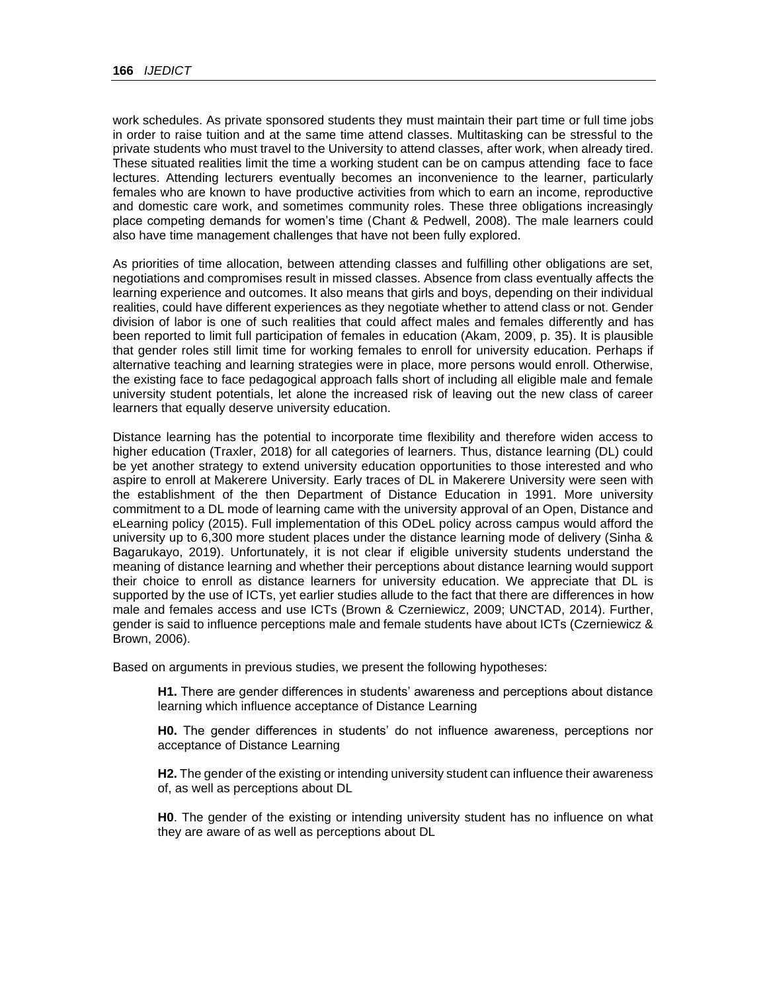work schedules. As private sponsored students they must maintain their part time or full time jobs in order to raise tuition and at the same time attend classes. Multitasking can be stressful to the private students who must travel to the University to attend classes, after work, when already tired. These situated realities limit the time a working student can be on campus attending face to face lectures. Attending lecturers eventually becomes an inconvenience to the learner, particularly females who are known to have productive activities from which to earn an income, reproductive and domestic care work, and sometimes community roles. These three obligations increasingly place competing demands for women's time (Chant & Pedwell, 2008). The male learners could also have time management challenges that have not been fully explored.

As priorities of time allocation, between attending classes and fulfilling other obligations are set, negotiations and compromises result in missed classes. Absence from class eventually affects the learning experience and outcomes. It also means that girls and boys, depending on their individual realities, could have different experiences as they negotiate whether to attend class or not. Gender division of labor is one of such realities that could affect males and females differently and has been reported to limit full participation of females in education (Akam, 200[9, p. 35\)](#page-26-1). It is plausible that gender roles still limit time for working females to enroll for university education. Perhaps if alternative teaching and learning strategies were in place, more persons would enroll. Otherwise, the existing face to face pedagogical approach falls short of including all eligible male and female university student potentials, let alone the increased risk of leaving out the new class of career learners that equally deserve university education.

Distance learning has the potential to incorporate time flexibility and therefore widen access to higher education (Traxler, 2018) for all categories of learners. Thus, distance learning (DL) could be yet another strategy to extend university education opportunities to those interested and who aspire to enroll at Makerere University. Early traces of DL in Makerere University were seen with the establishment of the then Department of Distance Education in 1991. More university commitment to a DL mode of learning came with the university approval of an Open, Distance and eLearning policy (2015). Full implementation of this ODeL policy across campus would afford the university up to 6,300 more student places under the distance learning mode of delivery (Sinha & Bagarukayo, 2019). Unfortunately, it is not clear if eligible university students understand the meaning of distance learning and whether their perceptions about distance learning would support their choice to enroll as distance learners for university education. We appreciate that DL is supported by the use of ICTs, yet earlier studies allude to the fact that there are differences in how male and females access and use ICTs (Brown & Czerniewicz, 2009; UNCTAD, 2[014\)](#page-34-0). Further, gender is said to influence perceptions male and female students have about ICTs (Czerniewicz & Brown, 2006).

Based on arguments in previous studies, we present the following hypotheses:

**H1.** There are gender differences in students' awareness and perceptions about distance learning which influence acceptance of Distance Learning

**H0.** The gender differences in students' do not influence awareness, perceptions nor acceptance of Distance Learning

**H2.** The gender of the existing or intending university student can influence their awareness of, as well as perceptions about DL

**H0**. The gender of the existing or intending university student has no influence on what they are aware of as well as perceptions about DL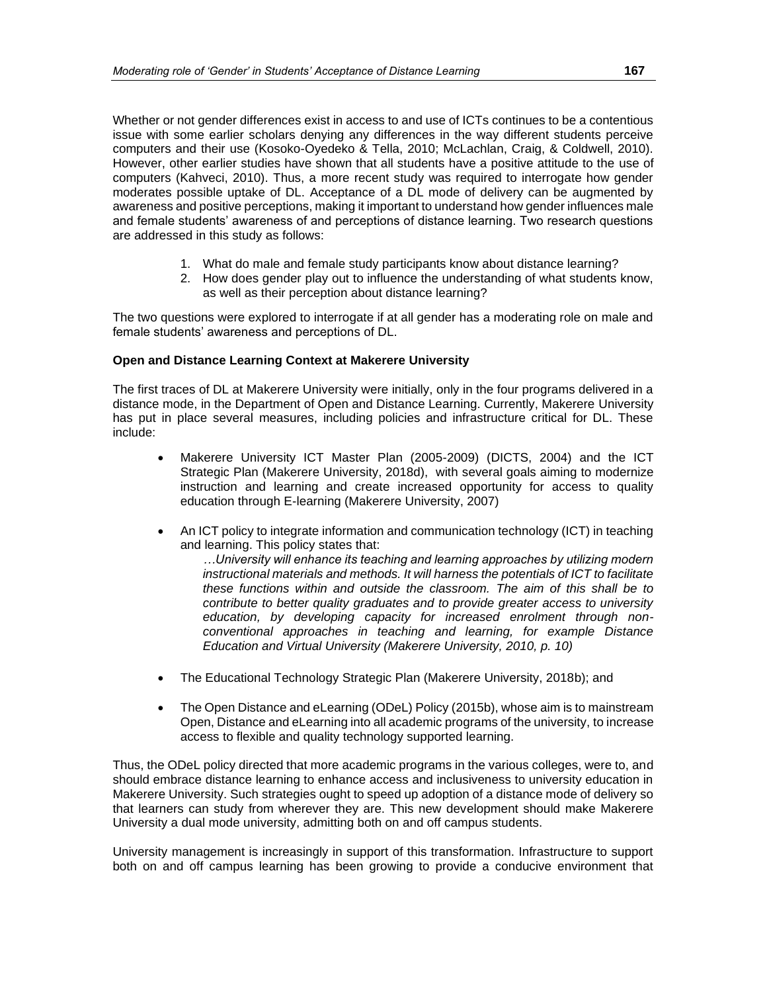Whether or not gender differences exist in access to and use of ICTs continues to be a contentious issue with some earlier scholars denying any differences in the way different students perceive computers and their use (Kosoko-Oyedeko & Tella, 2010; McLachlan, Craig, & Coldwell, 2010). However, other earlier studies have shown that all students have a positive attitude to the use of computers (Kahveci, 2010). Thus, a more recent study was required to interrogate how gender moderates possible uptake of DL. Acceptance of a DL mode of delivery can be augmented by awareness and positive perceptions, making it important to understand how gender influences male and female students' awareness of and perceptions of distance learning. Two research questions are addressed in this study as follows:

- 1. What do male and female study participants know about distance learning?
- 2. How does gender play out to influence the understanding of what students know, as well as their perception about distance learning?

The two questions were explored to interrogate if at all gender has a moderating role on male and female students' awareness and perceptions of DL.

### **Open and Distance Learning Context at Makerere University**

The first traces of DL at Makerere University were initially, only in the four programs delivered in a distance mode, in the Department of Open and Distance Learning. Currently, Makerere University has put in place several measures, including policies and infrastructure critical for DL. These include:

- Makerere University ICT Master Plan (2005-2009) (DICTS, 20[04\)](#page-28-0) and the ICT Strategic Plan (Makerere University, 2018d), with several goals aiming to modernize instruction and learning and create increased opportunity for access to quality education through E-learning (Makerere University, 2007)
- An ICT policy to integrate information and communication technology (ICT) in teaching and learning. This policy states that:

*…University will enhance its teaching and learning approaches by utilizing modern instructional materials and methods. It will harness the potentials of ICT to facilitate these functions within and outside the classroom. The aim of this shall be to contribute to better quality graduates and to provide greater access to university education, by developing capacity for increased enrolment through nonconventional approaches in teaching and learning, for example Distance Education and Virtual University (Makerere University, 2010, p. 10)* 

- The Educational Technology Strategic Plan (Makerere University, 2018b); and
- The Open Distance and eLearning (ODeL) Policy [\(2015b\)](#page-30-1), whose aim is to mainstream Open, Distance and eLearning into all academic programs of the university, to increase access to flexible and quality technology supported learning.

Thus, the ODeL policy directed that more academic programs in the various colleges, were to, and should embrace distance learning to enhance access and inclusiveness to university education in Makerere University. Such strategies ought to speed up adoption of a distance mode of delivery so that learners can study from wherever they are. This new development should make Makerere University a dual mode university, admitting both on and off campus students.

University management is increasingly in support of this transformation. Infrastructure to support both on and off campus learning has been growing to provide a conducive environment that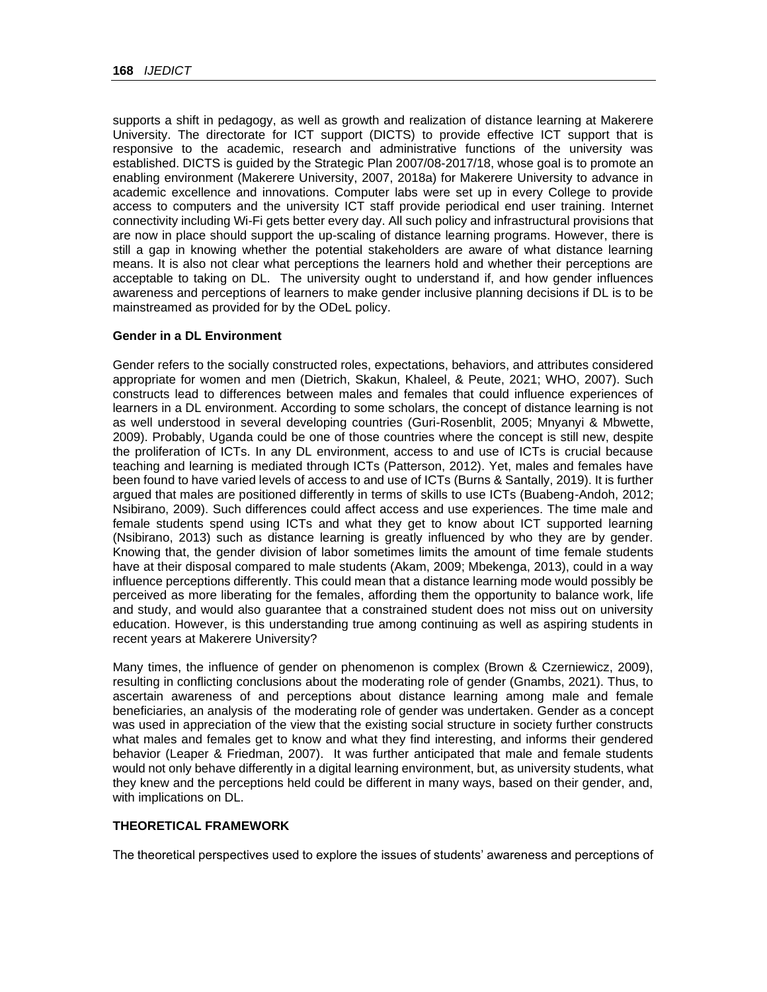supports a shift in pedagogy, as well as growth and realization of distance learning at Makerere University. The directorate for ICT support (DICTS) to provide effective ICT support that is responsive to the academic, research and administrative functions of the university was established. DICTS is guided by the Strategic Plan 2007/08-2017/18, whose goal is to promote an enabling environment (Makerere University, 2007, 2018a) for Makerere University to advance in academic excellence and innovations. Computer labs were set up in every College to provide access to computers and the university ICT staff provide periodical end user training. Internet connectivity including Wi-Fi gets better every day. All such policy and infrastructural provisions that are now in place should support the up-scaling of distance learning programs. However, there is still a gap in knowing whether the potential stakeholders are aware of what distance learning means. It is also not clear what perceptions the learners hold and whether their perceptions are acceptable to taking on DL. The university ought to understand if, and how gender influences awareness and perceptions of learners to make gender inclusive planning decisions if DL is to be mainstreamed as provided for by the ODeL policy.

### **Gender in a DL Environment**

Gender refers to the socially constructed roles, expectations, behaviors, and attributes considered appropriate for women and men (Dietrich, Skakun, Khaleel, & Peute, 2021; WHO, 2007). Such constructs lead to differences between males and females that could influence experiences of learners in a DL environment. According to some scholars, the concept of distance learning is not as well understood in several developing countries (Guri-Rosenblit, 2005; Mnyanyi & Mbwette, 2009). Probably, Uganda could be one of those countries where the concept is still new, despite the proliferation of ICTs. In any DL environment, access to and use of ICTs is crucial because teaching and learning is mediated through ICTs (Patterson, 2012). Yet, males and females have been found to have varied levels of access to and use of ICTs (Burns & Santally, 2019). It is further argued that males are positioned differently in terms of skills to use ICTs (Buabeng-Andoh, 2012; Nsibirano, 2009). Such differences could affect access and use experiences. The time male and female students spend using ICTs and what they get to know about ICT supported learning (Nsibirano, 2013) such as distance learning is greatly influenced by who they are by gender. Knowing that, the gender division of labor sometimes limits the amount of time female students have at their disposal compared to male students (Akam, 2009; Mbekenga, 2013), could in a way influence perceptions differently. This could mean that a distance learning mode would possibly be perceived as more liberating for the females, affording them the opportunity to balance work, life and study, and would also guarantee that a constrained student does not miss out on university education. However, is this understanding true among continuing as well as aspiring students in recent years at Makerere University?

Many times, the influence of gender on phenomenon is complex (Brown & Czerniewicz, 2009), resulting in conflicting conclusions about the moderating role of gender (Gnambs, 2021). Thus, to ascertain awareness of and perceptions about distance learning among male and female beneficiaries, an analysis of the moderating role of gender was undertaken. Gender as a concept was used in appreciation of the view that the existing social structure in society further constructs what males and females get to know and what they find interesting, and informs their gendered behavior (Leaper & Friedman, 2007). It was further anticipated that male and female students would not only behave differently in a digital learning environment, but, as university students, what they knew and the perceptions held could be different in many ways, based on their gender, and, with implications on DL.

### **THEORETICAL FRAMEWORK**

The theoretical perspectives used to explore the issues of students' awareness and perceptions of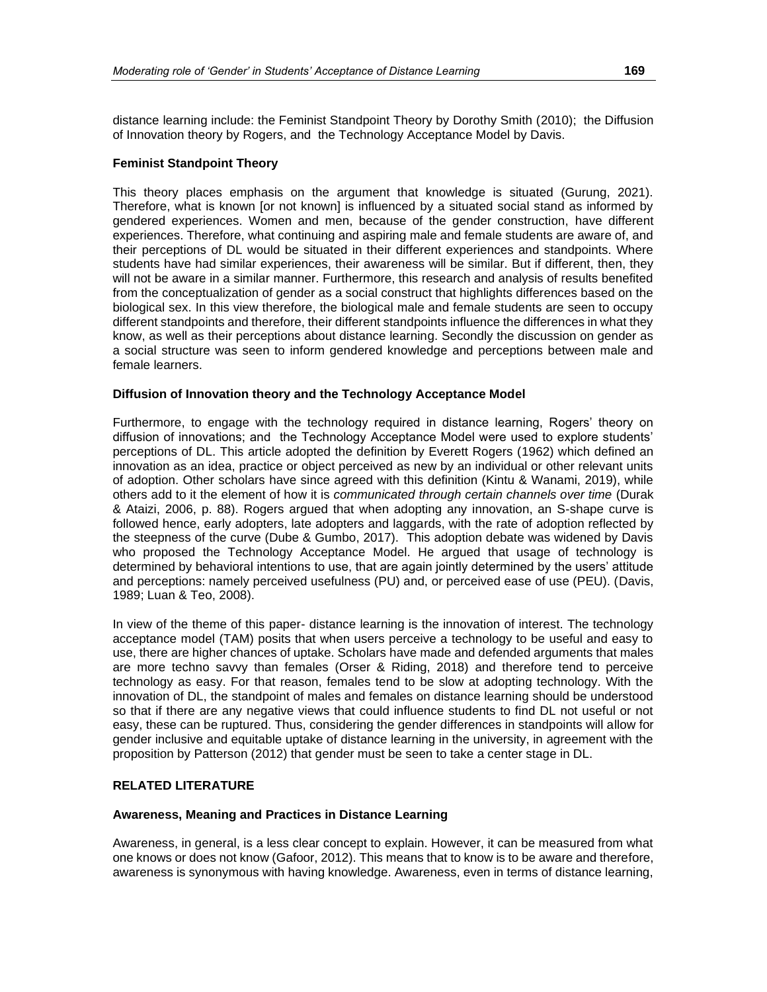distance learning include: the Feminist Standpoint Theory by Dorothy Smith [\(2010\)](#page-34-1); the Diffusion of Innovation theory by Rogers, and the Technology Acceptance Model by Davis.

#### **Feminist Standpoint Theory**

This theory places emphasis on the argument that knowledge is situated (Gurung, 2021). Therefore, what is known [or not known] is influenced by a situated social stand as informed by gendered experiences. Women and men, because of the gender construction, have different experiences. Therefore, what continuing and aspiring male and female students are aware of, and their perceptions of DL would be situated in their different experiences and standpoints. Where students have had similar experiences, their awareness will be similar. But if different, then, they will not be aware in a similar manner. Furthermore, this research and analysis of results benefited from the conceptualization of gender as a social construct that highlights differences based on the biological sex. In this view therefore, the biological male and female students are seen to occupy different standpoints and therefore, their different standpoints influence the differences in what they know, as well as their perceptions about distance learning. Secondly the discussion on gender as a social structure was seen to inform gendered knowledge and perceptions between male and female learners.

#### **Diffusion of Innovation theory and the Technology Acceptance Model**

Furthermore, to engage with the technology required in distance learning, Rogers' theory on diffusion of innovations; and the Technology Acceptance Model were used to explore students' perceptions of DL. This article adopted the definition by Everett Rogers [\(1962\)](#page-33-0) which defined an innovation as an idea, practice or object perceived as new by an individual or other relevant units of adoption. Other scholars have since agreed with this definition (Kintu & Wanami, 2019), while others add to it the element of how it is *communicated through certain channels over time* (Durak & Ataizi, 200[6, p. 88\)](#page-28-1). Rogers argued that when adopting any innovation, an S-shape curve is followed hence, early adopters, late adopters and laggards, with the rate of adoption reflected by the steepness of the curve (Dube & Gumbo, 2017). This adoption debate was widened by Davis who proposed the Technology Acceptance Model. He argued that usage of technology is determined by behavioral intentions to use, that are again jointly determined by the users' attitude and perceptions: namely perceived usefulness (PU) and, or perceived ease of use (PEU). [\(Davis,](#page-27-1)  [1989;](#page-27-1) [Luan & Teo, 2008\)](#page-30-2).

In view of the theme of this paper- distance learning is the innovation of interest. The technology acceptance model (TAM) posits that when users perceive a technology to be useful and easy to use, there are higher chances of uptake. Scholars have made and defended arguments that males are more techno savvy than females (Orser & Riding, 2018) and therefore tend to perceive technology as easy. For that reason, females tend to be slow at adopting technology. With the innovation of DL, the standpoint of males and females on distance learning should be understood so that if there are any negative views that could influence students to find DL not useful or not easy, these can be ruptured. Thus, considering the gender differences in standpoints will allow for gender inclusive and equitable uptake of distance learning in the university, in agreement with the proposition by Patterson [\(2012\)](#page-32-1) that gender must be seen to take a center stage in DL.

# **RELATED LITERATURE**

#### **Awareness, Meaning and Practices in Distance Learning**

Awareness, in general, is a less clear concept to explain. However, it can be measured from what one knows or does not know (Gafoor, 2012). This means that to know is to be aware and therefore, awareness is synonymous with having knowledge. Awareness, even in terms of distance learning,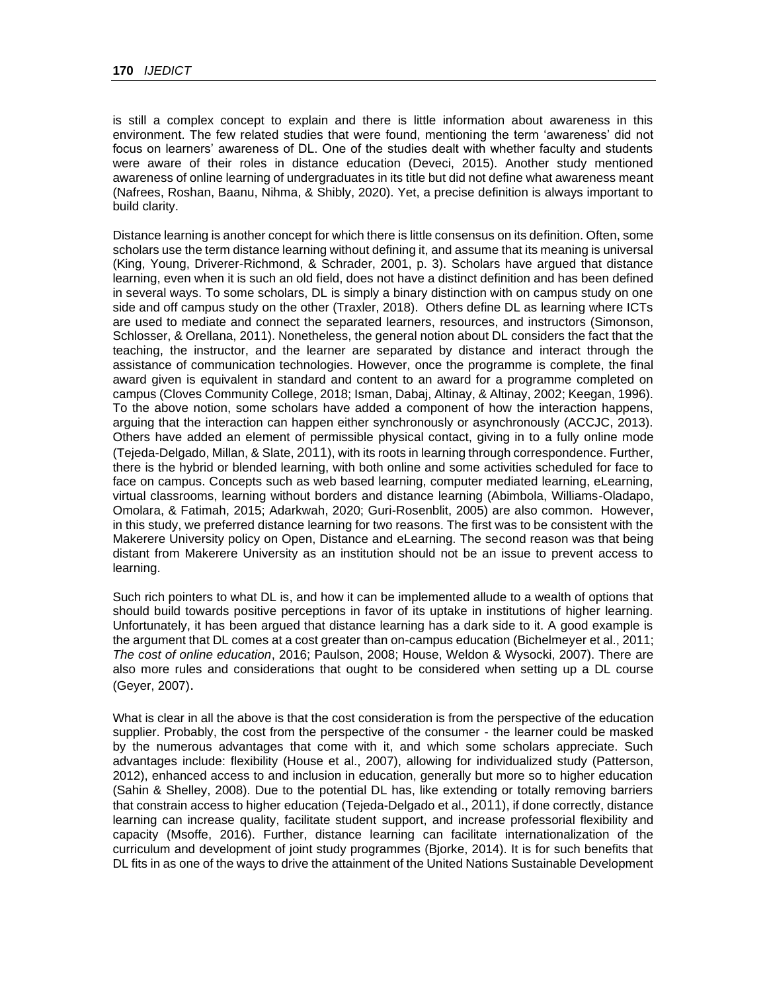is still a complex concept to explain and there is little information about awareness in this environment. The few related studies that were found, mentioning the term 'awareness' did not focus on learners' awareness of DL. One of the studies dealt with whether faculty and students were aware of their roles in distance education (Deveci, 2015). Another study mentioned awareness of online learning of undergraduates in its title but did not define what awareness meant (Nafrees, Roshan, Baanu, Nihma, & Shibly, 2020). Yet, a precise definition is always important to build clarity.

Distance learning is another concept for which there is little consensus on its definition. Often, some scholars use the term distance learning without defining it, and assume that its meaning is universal (King, Young, Driverer-Richmond, & Schrader, 2001, p. 3). Scholars have argued that distance learning, even when it is such an old field, does not have a distinct definition and has been defined in several ways. To some scholars, DL is simply a binary distinction with on campus study on one side and off campus study on the other (Traxler, 2018). Others define DL as learning where ICTs are used to mediate and connect the separated learners, resources, and instructors (Simonson, Schlosser, & Orellana, 2011). Nonetheless, the general notion about DL considers the fact that the teaching, the instructor, and the learner are separated by distance and interact through the assistance of communication technologies. However, once the programme is complete, the final award given is equivalent in standard and content to an award for a programme completed on campus (Cloves Community College, 2018; Isman, Dabaj, Altinay, & Altinay, 2002; Keegan, 1996). To the above notion, some scholars have added a component of how the interaction happens, arguing that the interaction can happen either synchronously or asynchronously (ACCJC, 2013). Others have added an element of permissible physical contact, giving in to a fully online mode (Tejeda-Delgado, Millan, & Slat[e,](#page-34-2) 2011), with its roots in learning through correspondence. Further, there is the hybrid or blended learning, with both online and some activities scheduled for face to face on campus. Concepts such as web based learning, computer mediated learning, eLearning, virtual classrooms, learning without borders and distance learning (Abimbola, Williams-Oladapo, Omolara, & Fatimah, 2015; Adarkwah, 2020; Guri-Rosenblit, 2005) are also common. However, in this study, we preferred distance learning for two reasons. The first was to be consistent with the Makerere University policy on Open, Distance and eLearning. The second reason was that being distant from Makerere University as an institution should not be an issue to prevent access to learning.

Such rich pointers to what DL is, and how it can be implemented allude to a wealth of options that should build towards positive perceptions in favor of its uptake in institutions of higher learning. Unfortunately, it has been argued that distance learning has a dark side to it. A good example is the argument that DL comes at a cost greater than on-campus education (Bichelmeyer et al., 2011; *The cost of online education*, 2016; [Paulson, 2](#page-32-2)008; House, Weldon & Wysocki, 2007). There are also more rules and considerations that ought to be considered when setting up a DL course (Geyer, 2007).

What is clear in all the above is that the cost consideration is from the perspective of the education supplier. Probably, the cost from the perspective of the consumer - the learner could be masked by the numerous advantages that come with it, and which some scholars appreciate. Such advantages include: flexibility (House et al., 2007), allowing for individualized study (Patterson, 2012), enhanced access to and inclusion in education, generally but more so to higher education (Sahin & Shelley, 2008). Due to the potential DL has, like extending or totally removing barriers that constrain access to higher education [\(Tejeda-Delgado et al.,](#page-34-2) 2011), if done correctly, distance learning can increase quality, facilitate student support, and increase professorial flexibility and capacity (Msoffe, 2016). Further, distance learning can facilitate internationalization of the curriculum and development of joint study programmes (Bjorke, 2014). It is for such benefits that DL fits in as one of the ways to drive the attainment of the United Nations Sustainable Development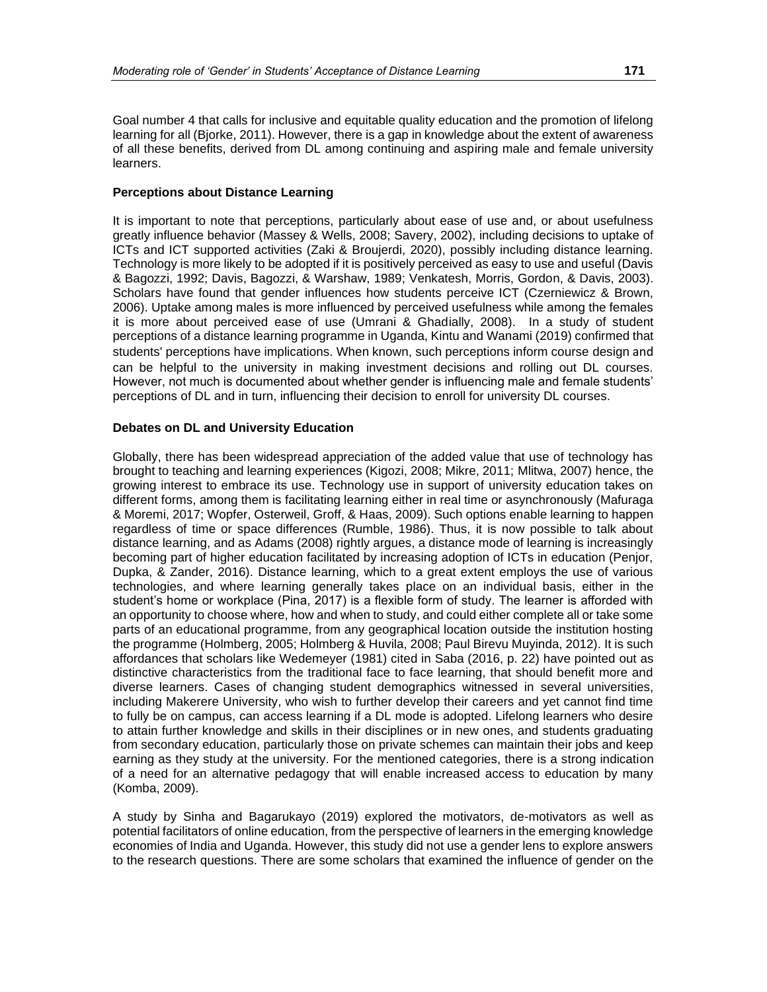Goal number 4 that calls for inclusive and equitable quality education and the promotion of lifelong learning for all (Bjorke, 2011). However, there is a gap in knowledge about the extent of awareness of all these benefits, derived from DL among continuing and aspiring male and female university learners.

#### **Perceptions about Distance Learning**

It is important to note that perceptions, particularly about ease of use and, or about usefulness greatly influence behavior (Massey & Wells, 2008; [Savery, 2002\)](#page-33-1), including decisions to uptake of ICTs and ICT supported activities (Zaki & Broujerdi, 2020), possibly including distance learning. Technology is more likely to be adopted if it is positively perceived as easy to use and useful (Davis & Bagozzi, 1992; Davis, Bagozzi, & Warshaw, 1989; Venkatesh, Morris, Gordon, & Davis, 2003). Scholars have found that gender influences how students perceive ICT (Czerniewicz & Brown, 2006). Uptake among males is more influenced by perceived usefulness while among the females it is more about perceived ease of use (Umrani & Ghadially, 2008). In a study of student perceptions of a distance learning programme in Uganda, Kintu and Wanami [\(2019\)](#page-29-1) confirmed that students' perceptions have implications. When known, such perceptions inform course design and can be helpful to the university in making investment decisions and rolling out DL courses. However, not much is documented about whether gender is influencing male and female students' perceptions of DL and in turn, influencing their decision to enroll for university DL courses.

### **Debates on DL and University Education**

Globally, there has been widespread appreciation of the added value that use of technology has brought to teaching and learning experiences (Kigozi, 2008; Mikre, 2011; Mlitwa, 2007) hence, the growing interest to embrace its use. Technology use in support of university education takes on different forms, among them is facilitating learning either in real time or asynchronously (Mafuraga & Moremi, 2017; Wopfer, Osterweil, Groff, & Haas, 2009). Such options enable learning to happen regardless of time or space differences (Rumble, 1986). Thus, it is now possible to talk about distance learning, and as Adams (2008) rightly argues, a distance mode of learning is increasingly becoming part of higher education facilitated by increasing adoption of ICTs in education (Penjor, Dupka, & Zander, 2016). Distance learning, which to a great extent employs the use of various technologies, and where learning generally takes place on an individual basis, either in the student's home or workplace (Pina, 2017) is a flexible form of study. The learner is afforded with an opportunity to choose where, how and when to study, and could either complete all or take some parts of an educational programme, from any geographical location outside the institution hosting the programme (Holmberg, 2005; Holmberg & Huvila, 2008; Paul Birevu Muyinda, 2012). It is such affordances that scholars like Wedemeyer (1981) cited in Saba [\(2016, p. 22\)](#page-33-2) have pointed out as distinctive characteristics from the traditional face to face learning, that should benefit more and diverse learners. Cases of changing student demographics witnessed in several universities, including Makerere University, who wish to further develop their careers and yet cannot find time to fully be on campus, can access learning if a DL mode is adopted. Lifelong learners who desire to attain further knowledge and skills in their disciplines or in new ones, and students graduating from secondary education, particularly those on private schemes can maintain their jobs and keep earning as they study at the university. For the mentioned categories, there is a strong indication of a need for an alternative pedagogy that will enable increased access to education by many (Komba, 2009).

A study by Sinha and Bagarukayo [\(2019\)](#page-34-3) explored the motivators, de-motivators as well as potential facilitators of online education, from the perspective of learners in the emerging knowledge economies of India and Uganda. However, this study did not use a gender lens to explore answers to the research questions. There are some scholars that examined the influence of gender on the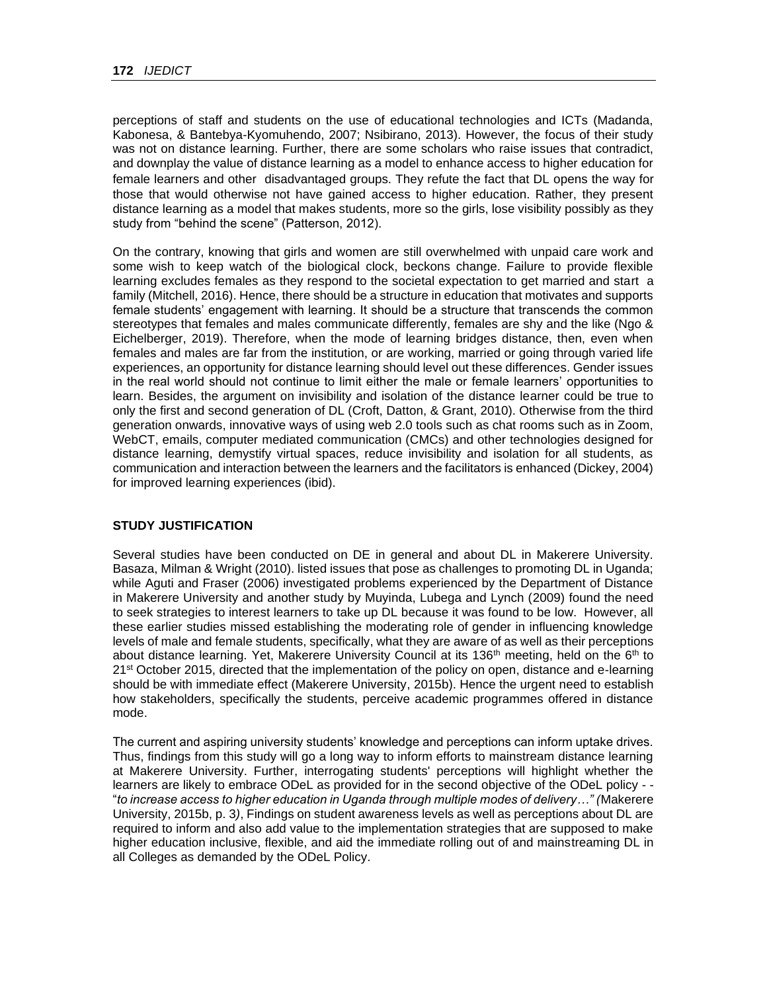perceptions of staff and students on the use of educational technologies and ICTs (Madanda, Kabonesa, & Bantebya-Kyomuhendo, 2007; Nsibirano, 2013). However, the focus of their study was not on distance learning. Further, there are some scholars who raise issues that contradict, and downplay the value of distance learning as a model to enhance access to higher education for female learners and other disadvantaged groups. They refute the fact that DL opens the way for those that would otherwise not have gained access to higher education. Rather, they present distance learning as a model that makes students, more so the girls, lose visibility possibly as they study from "behind the scene" (Patterson, 2012).

On the contrary, knowing that girls and women are still overwhelmed with unpaid care work and some wish to keep watch of the biological clock, beckons change. Failure to provide flexible learning excludes females as they respond to the societal expectation to get married and start a family (Mitchell, 2016). Hence, there should be a structure in education that motivates and supports female students' engagement with learning. It should be a structure that transcends the common stereotypes that females and males communicate differently, females are shy and the like (Ngo & Eichelberger, 2019). Therefore, when the mode of learning bridges distance, then, even when females and males are far from the institution, or are working, married or going through varied life experiences, an opportunity for distance learning should level out these differences. Gender issues in the real world should not continue to limit either the male or female learners' opportunities to learn. Besides, the argument on invisibility and isolation of the distance learner could be true to only the first and second generation of DL (Croft, Datton, & Grant, 2010). Otherwise from the third generation onwards, innovative ways of using web 2.0 tools such as chat rooms such as in Zoom, WebCT, emails, computer mediated communication (CMCs) and other technologies designed for distance learning, demystify virtual spaces, reduce invisibility and isolation for all students, as communication and interaction between the learners and the facilitators is enhanced (Dickey, 2004) for improved learning experiences (ibid).

### **STUDY JUSTIFICATION**

Several studies have been conducted on DE in general and about DL in Makerere University. Basaza, Milman & Wright (2010). listed issues that pose as challenges to promoting DL in Uganda; while Aguti and Fraser (2006) investigated problems experienced by the Department of Distance in Makerere University and another study by Muyinda, Lubega and Lynch [\(2009\)](#page-32-3) found the need to seek strategies to interest learners to take up DL because it was found to be low. However, all these earlier studies missed establishing the moderating role of gender in influencing knowledge levels of male and female students, specifically, what they are aware of as well as their perceptions about distance learning. Yet, Makerere University Council at its 136<sup>th</sup> meeting, held on the 6<sup>th</sup> to 21<sup>st</sup> October 2015, directed that the implementation of the policy on open, distance and e-learning should be with immediate effect (Makerere University, 2015b). Hence the urgent need to establish how stakeholders, specifically the students, perceive academic programmes offered in distance mode.

The current and aspiring university students' knowledge and perceptions can inform uptake drives. Thus, findings from this study will go a long way to inform efforts to mainstream distance learning at Makerere University. Further, interrogating students' perceptions will highlight whether the learners are likely to embrace ODeL as provided for in the second objective of the ODeL policy - - "*to increase access to higher education in Uganda through multiple modes of delivery…" (*Makerere University, 2015b, p. 3*)*, Findings on student awareness levels as well as perceptions about DL are required to inform and also add value to the implementation strategies that are supposed to make higher education inclusive, flexible, and aid the immediate rolling out of and mainstreaming DL in all Colleges as demanded by the ODeL Policy.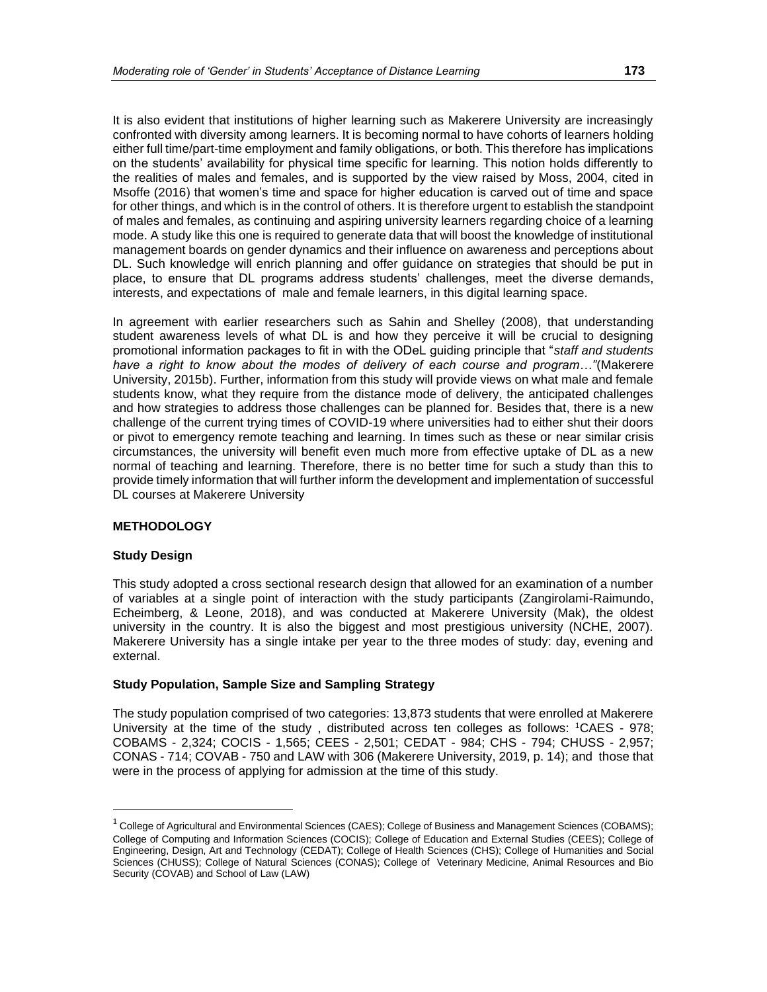It is also evident that institutions of higher learning such as Makerere University are increasingly confronted with diversity among learners. It is becoming normal to have cohorts of learners holding either full time/part-time employment and family obligations, or both. This therefore has implications on the students' availability for physical time specific for learning. This notion holds differently to the realities of males and females, and is supported by the view raised by Moss, 2004, cited in Msoffe [\(2016\)](#page-31-1) that women's time and space for higher education is carved out of time and space for other things, and which is in the control of others. It is therefore urgent to establish the standpoint of males and females, as continuing and aspiring university learners regarding choice of a learning mode. A study like this one is required to generate data that will boost the knowledge of institutional management boards on gender dynamics and their influence on awareness and perceptions about DL. Such knowledge will enrich planning and offer guidance on strategies that should be put in place, to ensure that DL programs address students' challenges, meet the diverse demands, interests, and expectations of male and female learners, in this digital learning space.

In agreement with earlier researchers such as Sahin and Shelley [\(2008\)](#page-33-3), that understanding student awareness levels of what DL is and how they perceive it will be crucial to designing promotional information packages to fit in with the ODeL guiding principle that "*staff and students have a right to know about the modes of delivery of each course and program…"*[\(Makerere](#page-30-1)  [University, 2015b\)](#page-30-1). Further, information from this study will provide views on what male and female students know, what they require from the distance mode of delivery, the anticipated challenges and how strategies to address those challenges can be planned for. Besides that, there is a new challenge of the current trying times of COVID-19 where universities had to either shut their doors or pivot to emergency remote teaching and learning. In times such as these or near similar crisis circumstances, the university will benefit even much more from effective uptake of DL as a new normal of teaching and learning. Therefore, there is no better time for such a study than this to provide timely information that will further inform the development and implementation of successful DL courses at Makerere University

### **METHODOLOGY**

#### **Study Design**

This study adopted a cross sectional research design that allowed for an examination of a number of variables at a single point of interaction with the study participants (Zangirolami-Raimundo, Echeimberg, & Leone, 2018), and was conducted at Makerere University (Mak), the oldest university in the country. It is also the biggest and most prestigious university (NCHE, 2007). Makerere University has a single intake per year to the three modes of study: day, evening and external.

### **Study Population, Sample Size and Sampling Strategy**

The study population comprised of two categories: 13,873 students that were enrolled at Makerere University at the time of the study , distributed across ten colleges as follows: <sup>1</sup>CAES - 978; COBAMS - 2,324; COCIS - 1,565; CEES - 2,501; CEDAT - 984; CHS - 794; CHUSS - 2,957; CONAS - 714; COVAB - 750 and LAW with 306 (Makerere University, 2019, p. 14); and those that were in the process of applying for admission at the time of this study.

 $1$  College of Agricultural and Environmental Sciences (CAES); College of Business and Management Sciences (COBAMS); College of Computing and Information Sciences (COCIS); College of Education and External Studies (CEES); College of Engineering, Design, Art and Technology (CEDAT); College of Health Sciences (CHS); College of Humanities and Social Sciences (CHUSS); College of Natural Sciences (CONAS); College of Veterinary Medicine, Animal Resources and Bio Security (COVAB) and School of Law (LAW)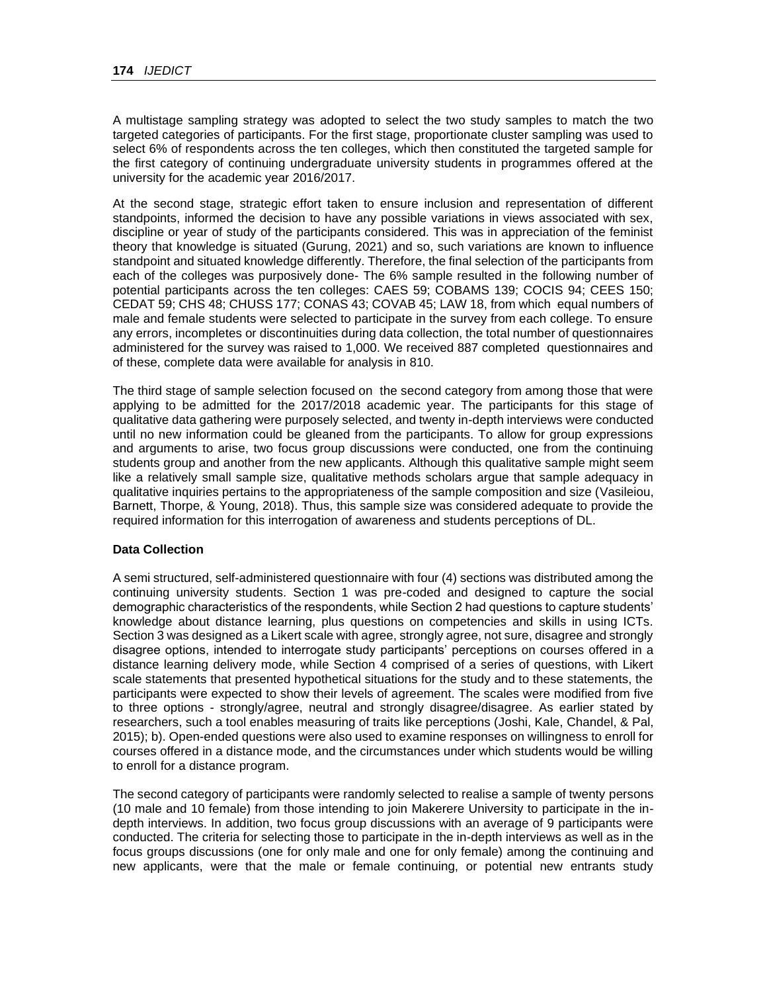A multistage sampling strategy was adopted to select the two study samples to match the two targeted categories of participants. For the first stage, proportionate cluster sampling was used to select 6% of respondents across the ten colleges, which then constituted the targeted sample for the first category of continuing undergraduate university students in programmes offered at the university for the academic year 2016/2017.

At the second stage, strategic effort taken to ensure inclusion and representation of different standpoints, informed the decision to have any possible variations in views associated with sex, discipline or year of study of the participants considered. This was in appreciation of the feminist theory that knowledge is situated (Gurung, 2021) and so, such variations are known to influence standpoint and situated knowledge differently. Therefore, the final selection of the participants from each of the colleges was purposively done- The 6% sample resulted in the following number of potential participants across the ten colleges: CAES 59; COBAMS 139; COCIS 94; CEES 150; CEDAT 59; CHS 48; CHUSS 177; CONAS 43; COVAB 45; LAW 18, from which equal numbers of male and female students were selected to participate in the survey from each college. To ensure any errors, incompletes or discontinuities during data collection, the total number of questionnaires administered for the survey was raised to 1,000. We received 887 completed questionnaires and of these, complete data were available for analysis in 810.

The third stage of sample selection focused on the second category from among those that were applying to be admitted for the 2017/2018 academic year. The participants for this stage of qualitative data gathering were purposely selected, and twenty in-depth interviews were conducted until no new information could be gleaned from the participants. To allow for group expressions and arguments to arise, two focus group discussions were conducted, one from the continuing students group and another from the new applicants. Although this qualitative sample might seem like a relatively small sample size, qualitative methods scholars argue that sample adequacy in qualitative inquiries pertains to the appropriateness of the sample composition and size [\(Va](#page-34-4)sileiou, Barnett, Thorpe, & Young, 2018). Thus, this sample size was considered adequate to provide the required information for this interrogation of awareness and students perceptions of DL.

### **Data Collection**

A semi structured, self-administered questionnaire with four (4) sections was distributed among the continuing university students. Section 1 was pre-coded and designed to capture the social demographic characteristics of the respondents, while Section 2 had questions to capture students' knowledge about distance learning, plus questions on competencies and skills in using ICTs. Section 3 was designed as a Likert scale with agree, strongly agree, not sure, disagree and strongly disagree options, intended to interrogate study participants' perceptions on courses offered in a distance learning delivery mode, while Section 4 comprised of a series of questions, with Likert scale statements that presented hypothetical situations for the study and to these statements, the participants were expected to show their levels of agreement. The scales were modified from five to three options - strongly/agree, neutral and strongly disagree/disagree. As earlier stated by researchers, such a tool enables measuring of traits like perceptions [\(Joshi, Kale, Chandel, & Pal,](#page-29-2)  [2015\)](#page-29-2); b). Open-ended questions were also used to examine responses on willingness to enroll for courses offered in a distance mode, and the circumstances under which students would be willing to enroll for a distance program.

The second category of participants were randomly selected to realise a sample of twenty persons (10 male and 10 female) from those intending to join Makerere University to participate in the indepth interviews. In addition, two focus group discussions with an average of 9 participants were conducted. The criteria for selecting those to participate in the in-depth interviews as well as in the focus groups discussions (one for only male and one for only female) among the continuing and new applicants, were that the male or female continuing, or potential new entrants study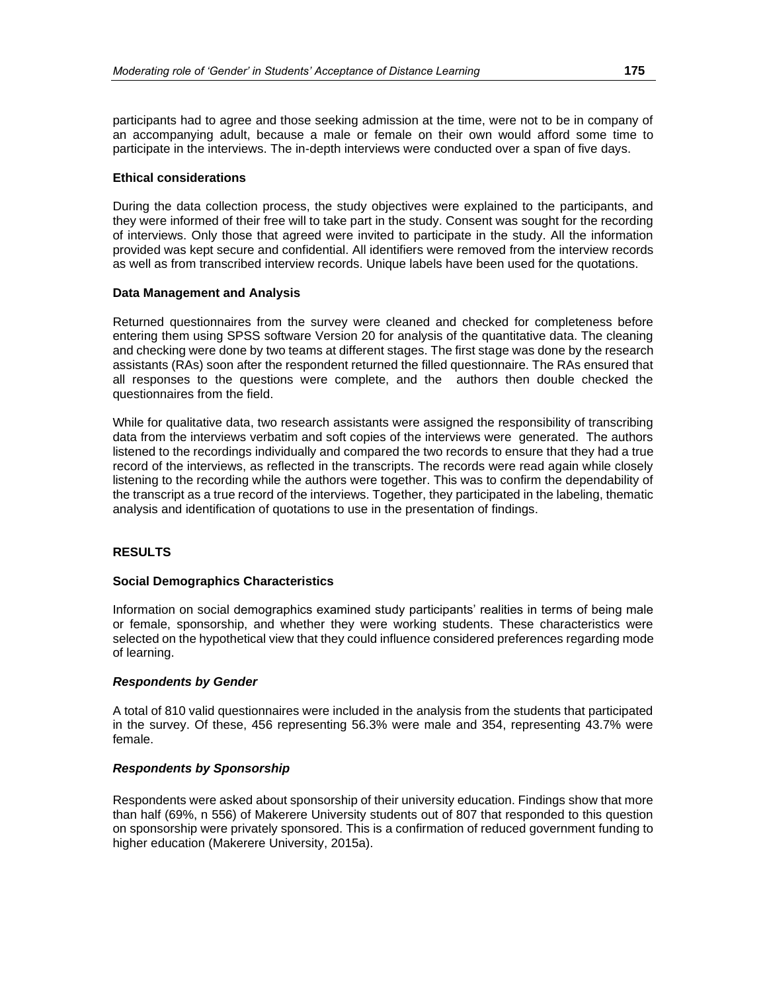participants had to agree and those seeking admission at the time, were not to be in company of an accompanying adult, because a male or female on their own would afford some time to participate in the interviews. The in-depth interviews were conducted over a span of five days.

#### **Ethical considerations**

During the data collection process, the study objectives were explained to the participants, and they were informed of their free will to take part in the study. Consent was sought for the recording of interviews. Only those that agreed were invited to participate in the study. All the information provided was kept secure and confidential. All identifiers were removed from the interview records as well as from transcribed interview records. Unique labels have been used for the quotations.

### **Data Management and Analysis**

Returned questionnaires from the survey were cleaned and checked for completeness before entering them using SPSS software Version 20 for analysis of the quantitative data. The cleaning and checking were done by two teams at different stages. The first stage was done by the research assistants (RAs) soon after the respondent returned the filled questionnaire. The RAs ensured that all responses to the questions were complete, and the authors then double checked the questionnaires from the field.

While for qualitative data, two research assistants were assigned the responsibility of transcribing data from the interviews verbatim and soft copies of the interviews were generated. The authors listened to the recordings individually and compared the two records to ensure that they had a true record of the interviews, as reflected in the transcripts. The records were read again while closely listening to the recording while the authors were together. This was to confirm the dependability of the transcript as a true record of the interviews. Together, they participated in the labeling, thematic analysis and identification of quotations to use in the presentation of findings.

### **RESULTS**

#### **Social Demographics Characteristics**

Information on social demographics examined study participants' realities in terms of being male or female, sponsorship, and whether they were working students. These characteristics were selected on the hypothetical view that they could influence considered preferences regarding mode of learning.

### *Respondents by Gender*

A total of 810 valid questionnaires were included in the analysis from the students that participated in the survey. Of these, 456 representing 56.3% were male and 354, representing 43.7% were female.

### *Respondents by Sponsorship*

Respondents were asked about sponsorship of their university education. Findings show that more than half (69%, n 556) of Makerere University students out of 807 that responded to this question on sponsorship were privately sponsored. This is a confirmation of reduced government funding to higher education (Makerere University, 2015a).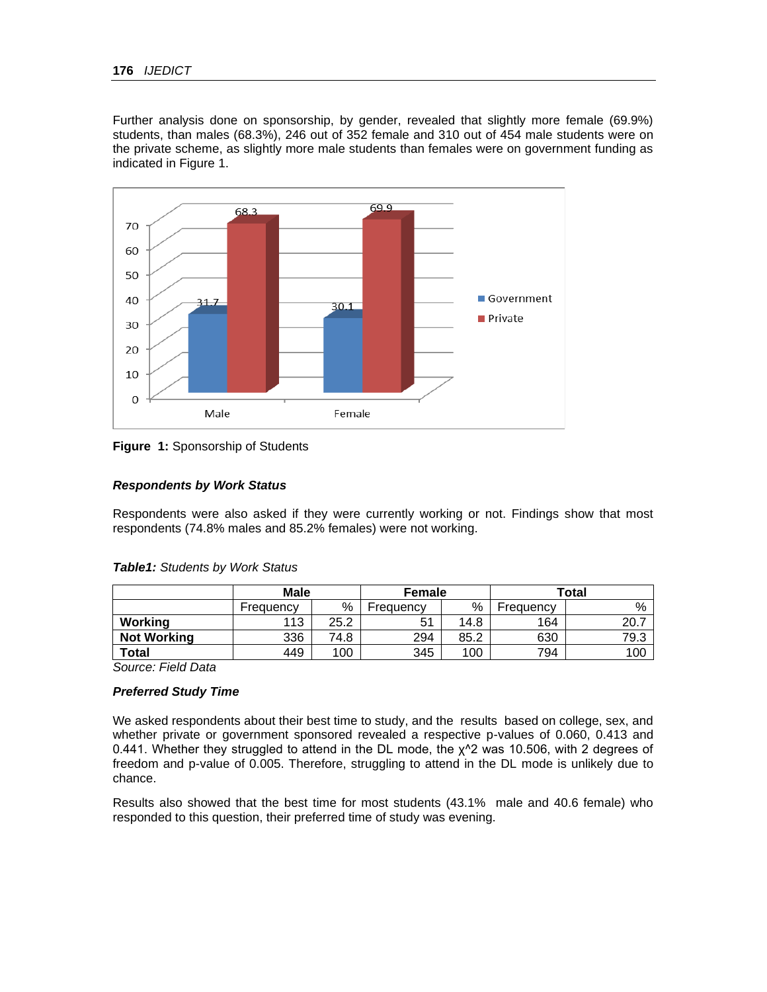Further analysis done on sponsorship, by gender, revealed that slightly more female (69.9%) students, than males (68.3%), 246 out of 352 female and 310 out of 454 male students were on the private scheme, as slightly more male students than females were on government funding as indicated in Figure 1.



**Figure 1:** Sponsorship of Students

### *Respondents by Work Status*

Respondents were also asked if they were currently working or not. Findings show that most respondents (74.8% males and 85.2% females) were not working.

|                    | Male      |      | <b>Female</b> |      | Total     |      |  |
|--------------------|-----------|------|---------------|------|-----------|------|--|
|                    | Frequency | %    | Frequency     | %    | Freauency | %    |  |
| Working            | 113       | 25.2 | 51            | 14.8 | 164       | 20.7 |  |
| <b>Not Working</b> | 336       | 74.8 | 294           | 85.2 | 630       | 79.3 |  |
| <b>Total</b>       | 449       | 100  | 345           | 100  | 794       | 100  |  |

### *Table1: Students by Work Status*

*Source: Field Data* 

### *Preferred Study Time*

We asked respondents about their best time to study, and the results based on college, sex, and whether private or government sponsored revealed a respective p-values of 0.060, 0.413 and 0.441. Whether they struggled to attend in the DL mode, the  $\chi$ <sup>4</sup>2 was 10.506, with 2 degrees of freedom and p-value of 0.005. Therefore, struggling to attend in the DL mode is unlikely due to chance.

Results also showed that the best time for most students (43.1% male and 40.6 female) who responded to this question, their preferred time of study was evening.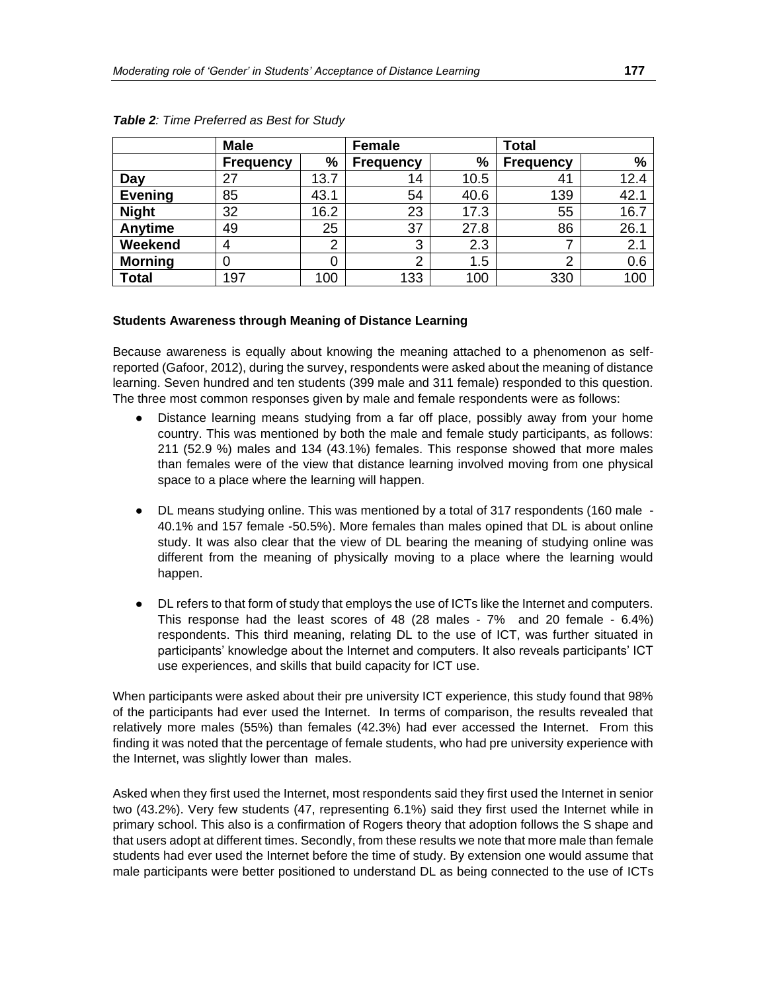|                | <b>Male</b>      |      | <b>Female</b>    |      | <b>Total</b>     |      |  |
|----------------|------------------|------|------------------|------|------------------|------|--|
|                | <b>Frequency</b> | %    | <b>Frequency</b> | %    | <b>Frequency</b> | $\%$ |  |
| Day            | 27               | 13.7 | 14               | 10.5 | 41               | 12.4 |  |
| <b>Evening</b> | 85               | 43.1 | 54               | 40.6 | 139              | 42.1 |  |
| <b>Night</b>   | 32               | 16.2 | 23               | 17.3 | 55               | 16.7 |  |
| Anytime        | 49               | 25   | 37               | 27.8 | 86               | 26.1 |  |
| Weekend        | 4                | っ    | 3                | 2.3  |                  | 2.1  |  |
| <b>Morning</b> |                  | 0    | $\overline{2}$   | 1.5  | ⌒                | 0.6  |  |
| <b>Total</b>   | 197              | 100  | 133              | 100  | 330              | 100  |  |

*Table 2: Time Preferred as Best for Study*

### **Students Awareness through Meaning of Distance Learning**

Because awareness is equally about knowing the meaning attached to a phenomenon as selfreported (Gafoor, 2012), during the survey, respondents were asked about the meaning of distance learning. Seven hundred and ten students (399 male and 311 female) responded to this question. The three most common responses given by male and female respondents were as follows:

- Distance learning means studying from a far off place, possibly away from your home country. This was mentioned by both the male and female study participants, as follows: 211 (52.9 %) males and 134 (43.1%) females. This response showed that more males than females were of the view that distance learning involved moving from one physical space to a place where the learning will happen.
- DL means studying online. This was mentioned by a total of 317 respondents (160 male 40.1% and 157 female -50.5%). More females than males opined that DL is about online study. It was also clear that the view of DL bearing the meaning of studying online was different from the meaning of physically moving to a place where the learning would happen.
- DL refers to that form of study that employs the use of ICTs like the Internet and computers. This response had the least scores of 48 (28 males - 7% and 20 female - 6.4%) respondents. This third meaning, relating DL to the use of ICT, was further situated in participants' knowledge about the Internet and computers. It also reveals participants' ICT use experiences, and skills that build capacity for ICT use.

When participants were asked about their pre university ICT experience, this study found that 98% of the participants had ever used the Internet. In terms of comparison, the results revealed that relatively more males (55%) than females (42.3%) had ever accessed the Internet. From this finding it was noted that the percentage of female students, who had pre university experience with the Internet, was slightly lower than males.

Asked when they first used the Internet, most respondents said they first used the Internet in senior two (43.2%). Very few students (47, representing 6.1%) said they first used the Internet while in primary school. This also is a confirmation of Rogers theory that adoption follows the S shape and that users adopt at different times. Secondly, from these results we note that more male than female students had ever used the Internet before the time of study. By extension one would assume that male participants were better positioned to understand DL as being connected to the use of ICTs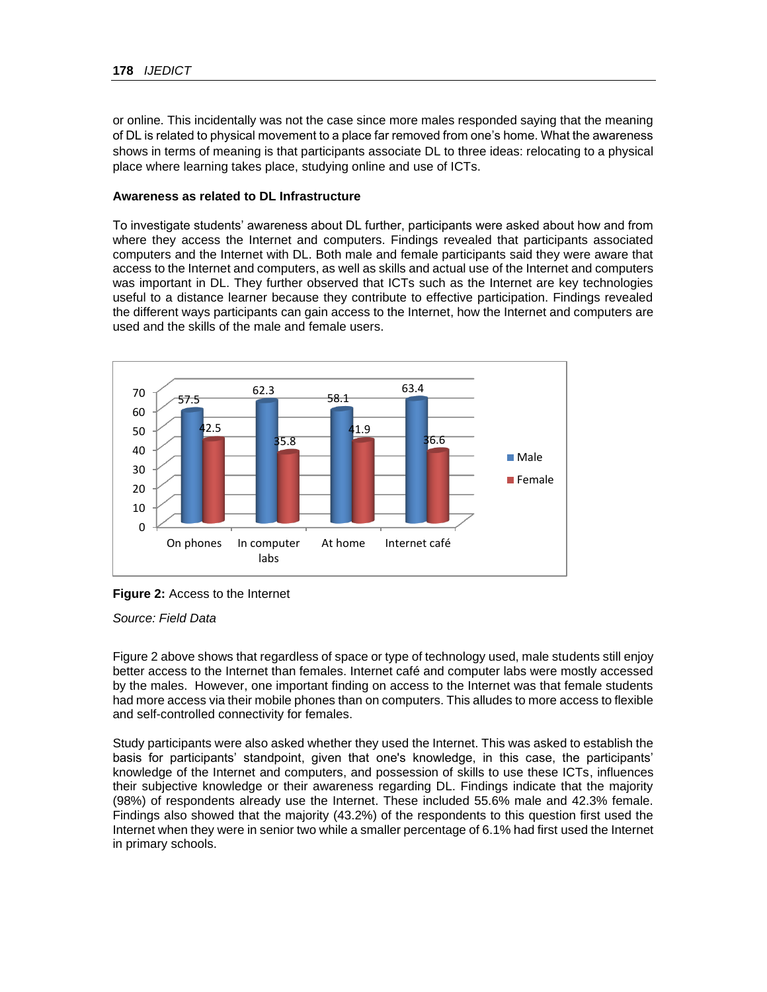or online. This incidentally was not the case since more males responded saying that the meaning of DL is related to physical movement to a place far removed from one's home. What the awareness shows in terms of meaning is that participants associate DL to three ideas: relocating to a physical place where learning takes place, studying online and use of ICTs.

#### **Awareness as related to DL Infrastructure**

To investigate students' awareness about DL further, participants were asked about how and from where they access the Internet and computers. Findings revealed that participants associated computers and the Internet with DL. Both male and female participants said they were aware that access to the Internet and computers, as well as skills and actual use of the Internet and computers was important in DL. They further observed that ICTs such as the Internet are key technologies useful to a distance learner because they contribute to effective participation. Findings revealed the different ways participants can gain access to the Internet, how the Internet and computers are used and the skills of the male and female users.



**Figure 2:** Access to the Internet

*Source: Field Data*

Figure 2 above shows that regardless of space or type of technology used, male students still enjoy better access to the Internet than females. Internet café and computer labs were mostly accessed by the males. However, one important finding on access to the Internet was that female students had more access via their mobile phones than on computers. This alludes to more access to flexible and self-controlled connectivity for females.

Study participants were also asked whether they used the Internet. This was asked to establish the basis for participants' standpoint, given that one's knowledge, in this case, the participants' knowledge of the Internet and computers, and possession of skills to use these ICTs, influences their subjective knowledge or their awareness regarding DL. Findings indicate that the majority (98%) of respondents already use the Internet. These included 55.6% male and 42.3% female. Findings also showed that the majority (43.2%) of the respondents to this question first used the Internet when they were in senior two while a smaller percentage of 6.1% had first used the Internet in primary schools.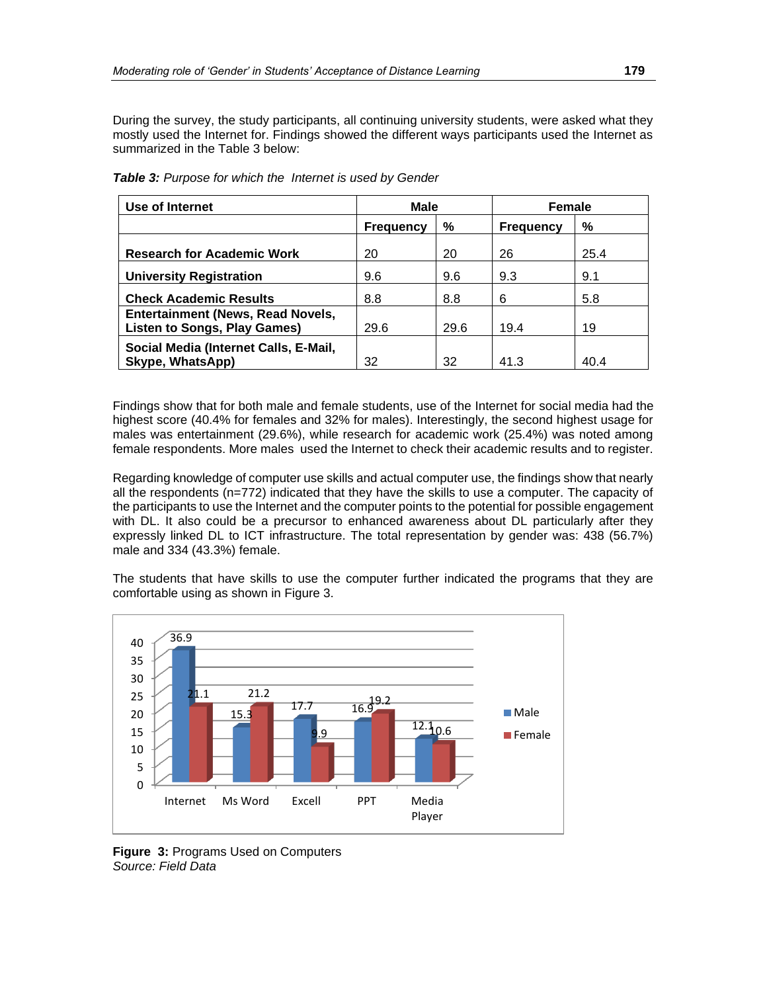During the survey, the study participants, all continuing university students, were asked what they mostly used the Internet for. Findings showed the different ways participants used the Internet as summarized in the Table 3 below:

| Use of Internet                                                                 | Male                  |      | <b>Female</b>    |      |  |
|---------------------------------------------------------------------------------|-----------------------|------|------------------|------|--|
|                                                                                 | %<br><b>Frequency</b> |      | <b>Frequency</b> | %    |  |
| <b>Research for Academic Work</b>                                               | 20                    | 20   | 26               | 25.4 |  |
| <b>University Registration</b>                                                  | 9.6                   | 9.6  | 9.3              | 9.1  |  |
| <b>Check Academic Results</b>                                                   | 8.8                   | 8.8  | 6                | 5.8  |  |
| <b>Entertainment (News, Read Novels,</b><br><b>Listen to Songs, Play Games)</b> | 29.6                  | 29.6 | 19.4             | 19   |  |
| Social Media (Internet Calls, E-Mail,<br>Skype, WhatsApp)                       | 32                    | 32   | 41.3             | 40.4 |  |

*Table 3: Purpose for which the Internet is used by Gender*

Findings show that for both male and female students, use of the Internet for social media had the highest score (40.4% for females and 32% for males). Interestingly, the second highest usage for males was entertainment (29.6%), while research for academic work (25.4%) was noted among female respondents. More males used the Internet to check their academic results and to register.

Regarding knowledge of computer use skills and actual computer use, the findings show that nearly all the respondents (n=772) indicated that they have the skills to use a computer. The capacity of the participants to use the Internet and the computer points to the potential for possible engagement with DL. It also could be a precursor to enhanced awareness about DL particularly after they expressly linked DL to ICT infrastructure. The total representation by gender was: 438 (56.7%) male and 334 (43.3%) female.

The students that have skills to use the computer further indicated the programs that they are comfortable using as shown in Figure 3.



**Figure 3:** Programs Used on Computers *Source: Field Data*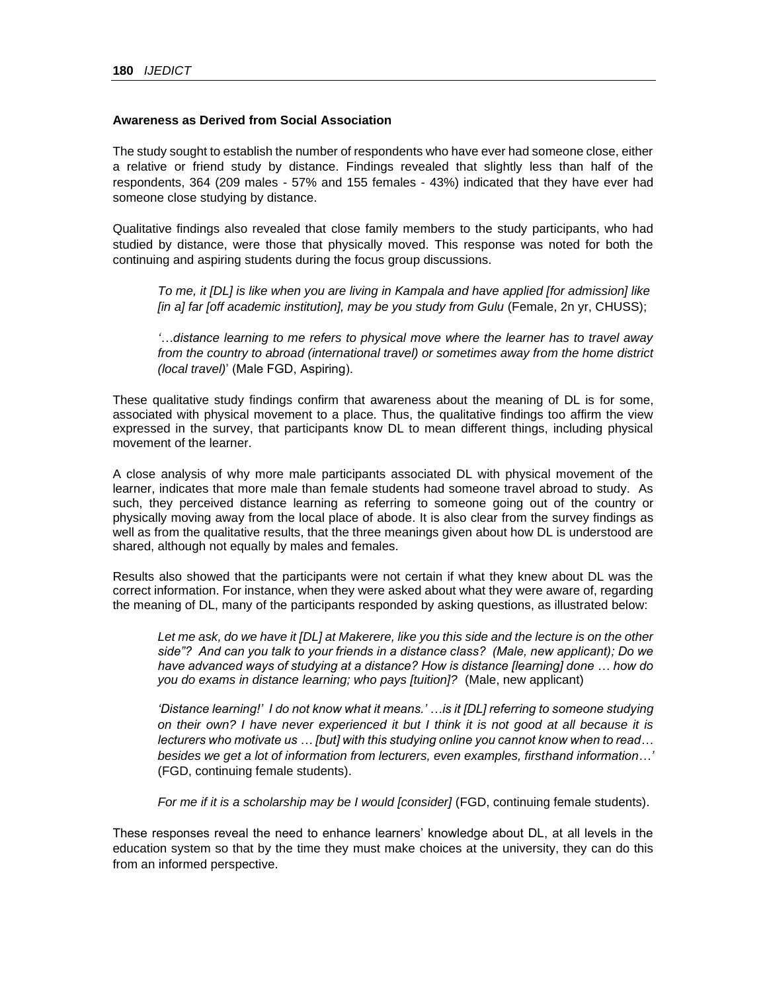#### **Awareness as Derived from Social Association**

The study sought to establish the number of respondents who have ever had someone close, either a relative or friend study by distance. Findings revealed that slightly less than half of the respondents, 364 (209 males - 57% and 155 females - 43%) indicated that they have ever had someone close studying by distance.

Qualitative findings also revealed that close family members to the study participants, who had studied by distance, were those that physically moved. This response was noted for both the continuing and aspiring students during the focus group discussions.

*To me, it [DL] is like when you are living in Kampala and have applied [for admission] like [in a] far [off academic institution], may be you study from Gulu* (Female, 2n yr, CHUSS);

*'…distance learning to me refers to physical move where the learner has to travel away from the country to abroad (international travel) or sometimes away from the home district (local travel)*' (Male FGD, Aspiring).

These qualitative study findings confirm that awareness about the meaning of DL is for some, associated with physical movement to a place. Thus, the qualitative findings too affirm the view expressed in the survey, that participants know DL to mean different things, including physical movement of the learner.

A close analysis of why more male participants associated DL with physical movement of the learner, indicates that more male than female students had someone travel abroad to study. As such, they perceived distance learning as referring to someone going out of the country or physically moving away from the local place of abode. It is also clear from the survey findings as well as from the qualitative results, that the three meanings given about how DL is understood are shared, although not equally by males and females.

Results also showed that the participants were not certain if what they knew about DL was the correct information. For instance, when they were asked about what they were aware of, regarding the meaning of DL, many of the participants responded by asking questions, as illustrated below:

*Let me ask, do we have it [DL] at Makerere, like you this side and the lecture is on the other side"? And can you talk to your friends in a distance class? (Male, new applicant); Do we have advanced ways of studying at a distance? How is distance [learning] done … how do you do exams in distance learning; who pays [tuition]?* (Male, new applicant)

*'Distance learning!' I do not know what it means.' …is it [DL] referring to someone studying on their own? I have never experienced it but I think it is not good at all because it is lecturers who motivate us … [but] with this studying online you cannot know when to read… besides we get a lot of information from lecturers, even examples, firsthand information…'* (FGD, continuing female students).

*For me if it is a scholarship may be I would [consider]* (FGD, continuing female students).

These responses reveal the need to enhance learners' knowledge about DL, at all levels in the education system so that by the time they must make choices at the university, they can do this from an informed perspective.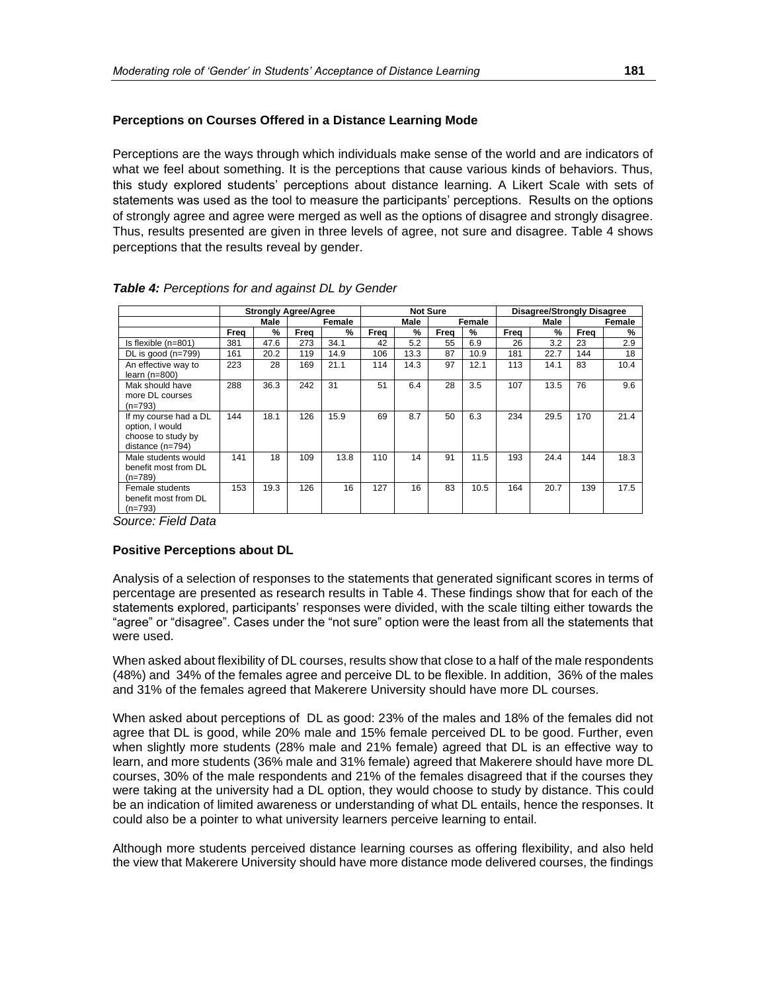# **Perceptions on Courses Offered in a Distance Learning Mode**

Perceptions are the ways through which individuals make sense of the world and are indicators of what we feel about something. It is the perceptions that cause various kinds of behaviors. Thus, this study explored students' perceptions about distance learning. A Likert Scale with sets of statements was used as the tool to measure the participants' perceptions. Results on the options of strongly agree and agree were merged as well as the options of disagree and strongly disagree. Thus, results presented are given in three levels of agree, not sure and disagree. Table 4 shows perceptions that the results reveal by gender.

|                                                                                      | <b>Strongly Agree/Agree</b> |      |      |        |      | <b>Not Sure</b> |      |        | <b>Disagree/Strongly Disagree</b> |      |      |        |
|--------------------------------------------------------------------------------------|-----------------------------|------|------|--------|------|-----------------|------|--------|-----------------------------------|------|------|--------|
|                                                                                      |                             | Male |      | Female |      | Male            |      | Female |                                   | Male |      | Female |
|                                                                                      | Freq                        | %    | Frea | %      | Freq | %               | Frea | %      | Freq                              | %    | Freq | %      |
| Is flexible (n=801)                                                                  | 381                         | 47.6 | 273  | 34.1   | 42   | 5.2             | 55   | 6.9    | 26                                | 3.2  | 23   | 2.9    |
| DL is good (n=799)                                                                   | 161                         | 20.2 | 119  | 14.9   | 106  | 13.3            | 87   | 10.9   | 181                               | 22.7 | 144  | 18     |
| An effective way to<br>$learn (n=800)$                                               | 223                         | 28   | 169  | 21.1   | 114  | 14.3            | 97   | 12.1   | 113                               | 14.1 | 83   | 10.4   |
| Mak should have<br>more DL courses<br>$(n=793)$                                      | 288                         | 36.3 | 242  | 31     | 51   | 6.4             | 28   | 3.5    | 107                               | 13.5 | 76   | 9.6    |
| If my course had a DL<br>option, I would<br>choose to study by<br>distance $(n=794)$ | 144                         | 18.1 | 126  | 15.9   | 69   | 8.7             | 50   | 6.3    | 234                               | 29.5 | 170  | 21.4   |
| Male students would<br>benefit most from DL<br>(n=789)                               | 141                         | 18   | 109  | 13.8   | 110  | 14              | 91   | 11.5   | 193                               | 24.4 | 144  | 18.3   |
| Female students<br>benefit most from DL<br>$(n=793)$                                 | 153                         | 19.3 | 126  | 16     | 127  | 16              | 83   | 10.5   | 164                               | 20.7 | 139  | 17.5   |

|  |  | Table 4: Perceptions for and against DL by Gender |  |  |  |
|--|--|---------------------------------------------------|--|--|--|
|--|--|---------------------------------------------------|--|--|--|

*Source: Field Data*

### **Positive Perceptions about DL**

Analysis of a selection of responses to the statements that generated significant scores in terms of percentage are presented as research results in Table 4. These findings show that for each of the statements explored, participants' responses were divided, with the scale tilting either towards the "agree" or "disagree". Cases under the "not sure" option were the least from all the statements that were used.

When asked about flexibility of DL courses, results show that close to a half of the male respondents (48%) and 34% of the females agree and perceive DL to be flexible. In addition, 36% of the males and 31% of the females agreed that Makerere University should have more DL courses.

When asked about perceptions of DL as good: 23% of the males and 18% of the females did not agree that DL is good, while 20% male and 15% female perceived DL to be good. Further, even when slightly more students (28% male and 21% female) agreed that DL is an effective way to learn, and more students (36% male and 31% female) agreed that Makerere should have more DL courses, 30% of the male respondents and 21% of the females disagreed that if the courses they were taking at the university had a DL option, they would choose to study by distance. This could be an indication of limited awareness or understanding of what DL entails, hence the responses. It could also be a pointer to what university learners perceive learning to entail.

Although more students perceived distance learning courses as offering flexibility, and also held the view that Makerere University should have more distance mode delivered courses, the findings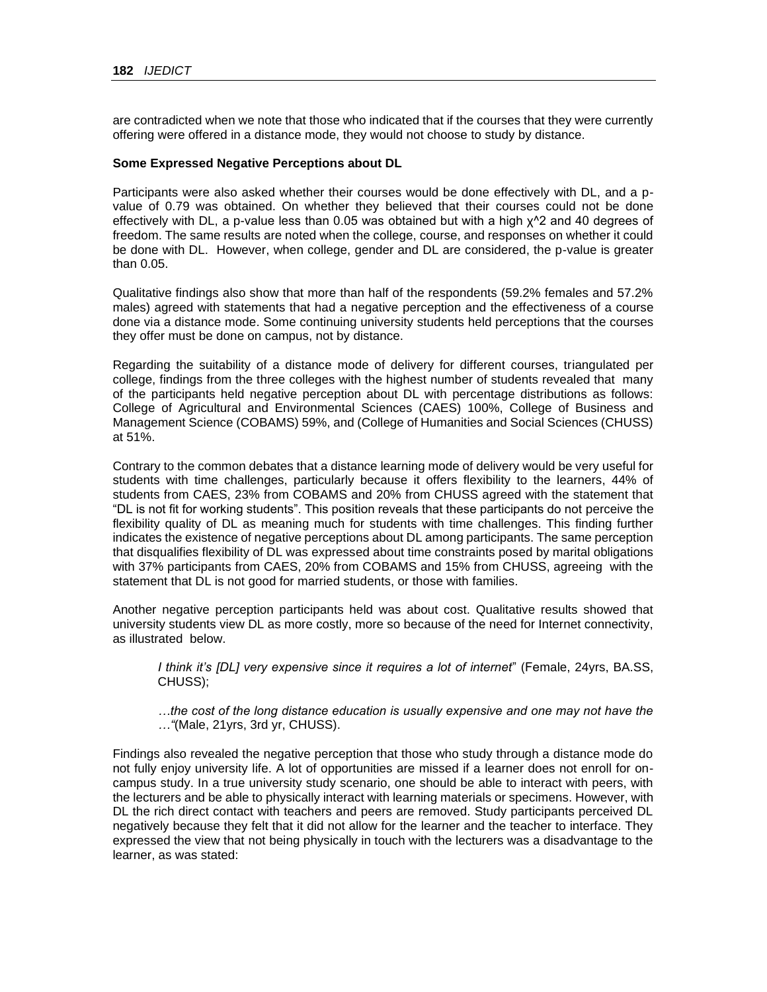are contradicted when we note that those who indicated that if the courses that they were currently offering were offered in a distance mode, they would not choose to study by distance.

#### **Some Expressed Negative Perceptions about DL**

Participants were also asked whether their courses would be done effectively with DL, and a pvalue of 0.79 was obtained. On whether they believed that their courses could not be done effectively with DL, a p-value less than 0.05 was obtained but with a high x<sup>1</sup>2 and 40 degrees of freedom. The same results are noted when the college, course, and responses on whether it could be done with DL. However, when college, gender and DL are considered, the p-value is greater than 0.05.

Qualitative findings also show that more than half of the respondents (59.2% females and 57.2% males) agreed with statements that had a negative perception and the effectiveness of a course done via a distance mode. Some continuing university students held perceptions that the courses they offer must be done on campus, not by distance.

Regarding the suitability of a distance mode of delivery for different courses, triangulated per college, findings from the three colleges with the highest number of students revealed that many of the participants held negative perception about DL with percentage distributions as follows: College of Agricultural and Environmental Sciences (CAES) 100%, College of Business and Management Science (COBAMS) 59%, and (College of Humanities and Social Sciences (CHUSS) at 51%.

Contrary to the common debates that a distance learning mode of delivery would be very useful for students with time challenges, particularly because it offers flexibility to the learners, 44% of students from CAES, 23% from COBAMS and 20% from CHUSS agreed with the statement that "DL is not fit for working students". This position reveals that these participants do not perceive the flexibility quality of DL as meaning much for students with time challenges. This finding further indicates the existence of negative perceptions about DL among participants. The same perception that disqualifies flexibility of DL was expressed about time constraints posed by marital obligations with 37% participants from CAES, 20% from COBAMS and 15% from CHUSS, agreeing with the statement that DL is not good for married students, or those with families.

Another negative perception participants held was about cost. Qualitative results showed that university students view DL as more costly, more so because of the need for Internet connectivity, as illustrated below.

*I think it's [DL] very expensive since it requires a lot of internet*" (Female, 24yrs, BA.SS, CHUSS);

*…the cost of the long distance education is usually expensive and one may not have the …"*(Male, 21yrs, 3rd yr, CHUSS).

Findings also revealed the negative perception that those who study through a distance mode do not fully enjoy university life. A lot of opportunities are missed if a learner does not enroll for oncampus study. In a true university study scenario, one should be able to interact with peers, with the lecturers and be able to physically interact with learning materials or specimens. However, with DL the rich direct contact with teachers and peers are removed. Study participants perceived DL negatively because they felt that it did not allow for the learner and the teacher to interface. They expressed the view that not being physically in touch with the lecturers was a disadvantage to the learner, as was stated: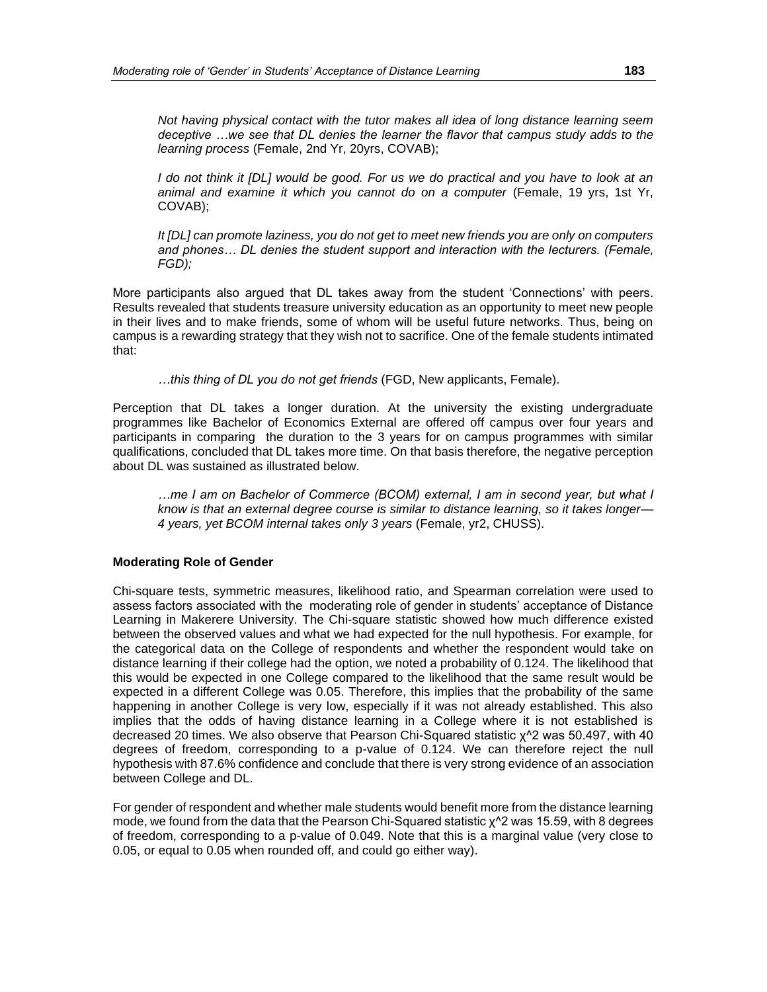*Not having physical contact with the tutor makes all idea of long distance learning seem deceptive …we see that DL denies the learner the flavor that campus study adds to the learning process* (Female, 2nd Yr, 20yrs, COVAB);

*I* do not think it *[DL]* would be good. For us we do practical and you have to look at an *animal and examine it which you cannot do on a computer* (Female, 19 yrs, 1st Yr, COVAB);

*It [DL] can promote laziness, you do not get to meet new friends you are only on computers and phones… DL denies the student support and interaction with the lecturers. (Female, FGD);*

More participants also argued that DL takes away from the student 'Connections' with peers. Results revealed that students treasure university education as an opportunity to meet new people in their lives and to make friends, some of whom will be useful future networks. Thus, being on campus is a rewarding strategy that they wish not to sacrifice. One of the female students intimated that:

*…this thing of DL you do not get friends* (FGD, New applicants, Female).

Perception that DL takes a longer duration. At the university the existing undergraduate programmes like Bachelor of Economics External are offered off campus over four years and participants in comparing the duration to the 3 years for on campus programmes with similar qualifications, concluded that DL takes more time. On that basis therefore, the negative perception about DL was sustained as illustrated below.

*…me I am on Bachelor of Commerce (BCOM) external, I am in second year, but what I know is that an external degree course is similar to distance learning, so it takes longer— 4 years, yet BCOM internal takes only 3 years* (Female, yr2, CHUSS).

### **Moderating Role of Gender**

Chi-square tests, symmetric measures, likelihood ratio, and Spearman correlation were used to assess factors associated with the moderating role of gender in students' acceptance of Distance Learning in Makerere University. The Chi-square statistic showed how much difference existed between the observed values and what we had expected for the null hypothesis. For example, for the categorical data on the College of respondents and whether the respondent would take on distance learning if their college had the option, we noted a probability of 0.124. The likelihood that this would be expected in one College compared to the likelihood that the same result would be expected in a different College was 0.05. Therefore, this implies that the probability of the same happening in another College is very low, especially if it was not already established. This also implies that the odds of having distance learning in a College where it is not established is decreased 20 times. We also observe that Pearson Chi-Squared statistic χ^2 was 50.497, with 40 degrees of freedom, corresponding to a p-value of 0.124. We can therefore reject the null hypothesis with 87.6% confidence and conclude that there is very strong evidence of an association between College and DL.

For gender of respondent and whether male students would benefit more from the distance learning mode, we found from the data that the Pearson Chi-Squared statistic χ<sup>λ</sup>2 was 15.59, with 8 degrees of freedom, corresponding to a p-value of 0.049. Note that this is a marginal value (very close to 0.05, or equal to 0.05 when rounded off, and could go either way).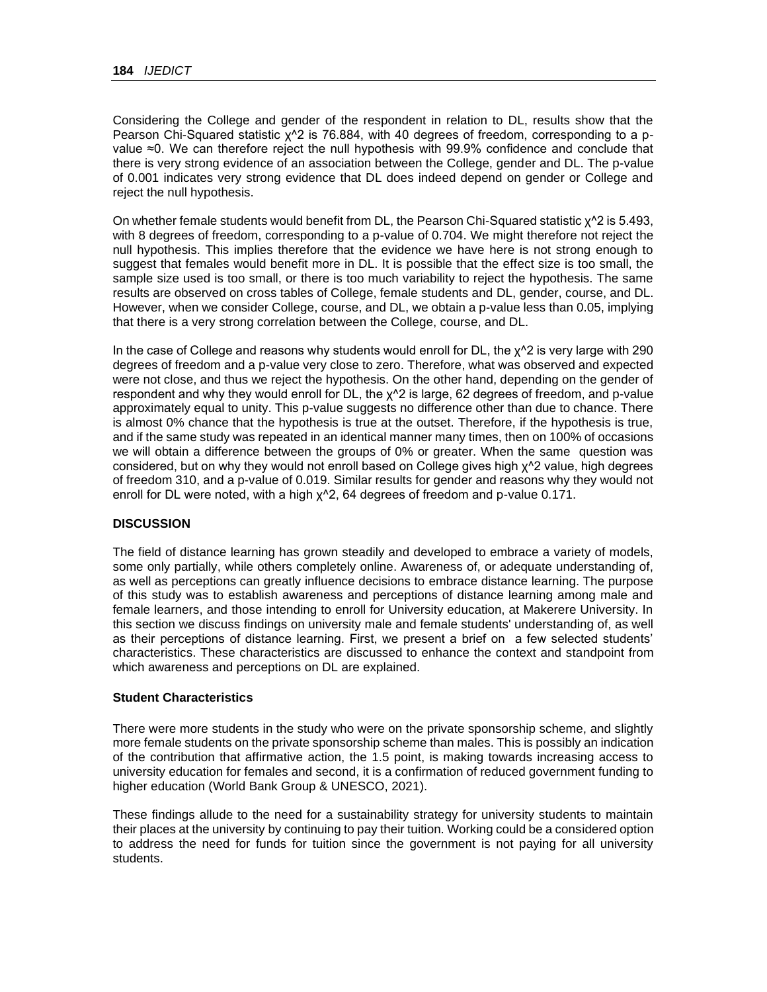Considering the College and gender of the respondent in relation to DL, results show that the Pearson Chi-Squared statistic χ^2 is 76.884, with 40 degrees of freedom, corresponding to a pvalue ≈0. We can therefore reject the null hypothesis with 99.9% confidence and conclude that there is very strong evidence of an association between the College, gender and DL. The p-value of 0.001 indicates very strong evidence that DL does indeed depend on gender or College and reject the null hypothesis.

On whether female students would benefit from DL, the Pearson Chi-Squared statistic χ^2 is 5.493, with 8 degrees of freedom, corresponding to a p-value of 0.704. We might therefore not reject the null hypothesis. This implies therefore that the evidence we have here is not strong enough to suggest that females would benefit more in DL. It is possible that the effect size is too small, the sample size used is too small, or there is too much variability to reject the hypothesis. The same results are observed on cross tables of College, female students and DL, gender, course, and DL. However, when we consider College, course, and DL, we obtain a p-value less than 0.05, implying that there is a very strong correlation between the College, course, and DL.

In the case of College and reasons why students would enroll for  $DL$ , the  $\chi^2$  is very large with 290 degrees of freedom and a p-value very close to zero. Therefore, what was observed and expected were not close, and thus we reject the hypothesis. On the other hand, depending on the gender of respondent and why they would enroll for DL, the χ^2 is large, 62 degrees of freedom, and p-value approximately equal to unity. This p-value suggests no difference other than due to chance. There is almost 0% chance that the hypothesis is true at the outset. Therefore, if the hypothesis is true, and if the same study was repeated in an identical manner many times, then on 100% of occasions we will obtain a difference between the groups of 0% or greater. When the same question was considered, but on why they would not enroll based on College gives high χ^2 value, high degrees of freedom 310, and a p-value of 0.019. Similar results for gender and reasons why they would not enroll for DL were noted, with a high χ^2, 64 degrees of freedom and p-value 0.171.

# **DISCUSSION**

The field of distance learning has grown steadily and developed to embrace a variety of models, some only partially, while others completely online. Awareness of, or adequate understanding of, as well as perceptions can greatly influence decisions to embrace distance learning. The purpose of this study was to establish awareness and perceptions of distance learning among male and female learners, and those intending to enroll for University education, at Makerere University. In this section we discuss findings on university male and female students' understanding of, as well as their perceptions of distance learning. First, we present a brief on a few selected students' characteristics. These characteristics are discussed to enhance the context and standpoint from which awareness and perceptions on DL are explained.

#### **Student Characteristics**

There were more students in the study who were on the private sponsorship scheme, and slightly more female students on the private sponsorship scheme than males. This is possibly an indication of the contribution that affirmative action, the 1.5 point, is making towards increasing access to university education for females and second, it is a confirmation of reduced government funding to higher education [\(World Bank Group & UNESCO, 2021\)](#page-35-0).

These findings allude to the need for a sustainability strategy for university students to maintain their places at the university by continuing to pay their tuition. Working could be a considered option to address the need for funds for tuition since the government is not paying for all university students.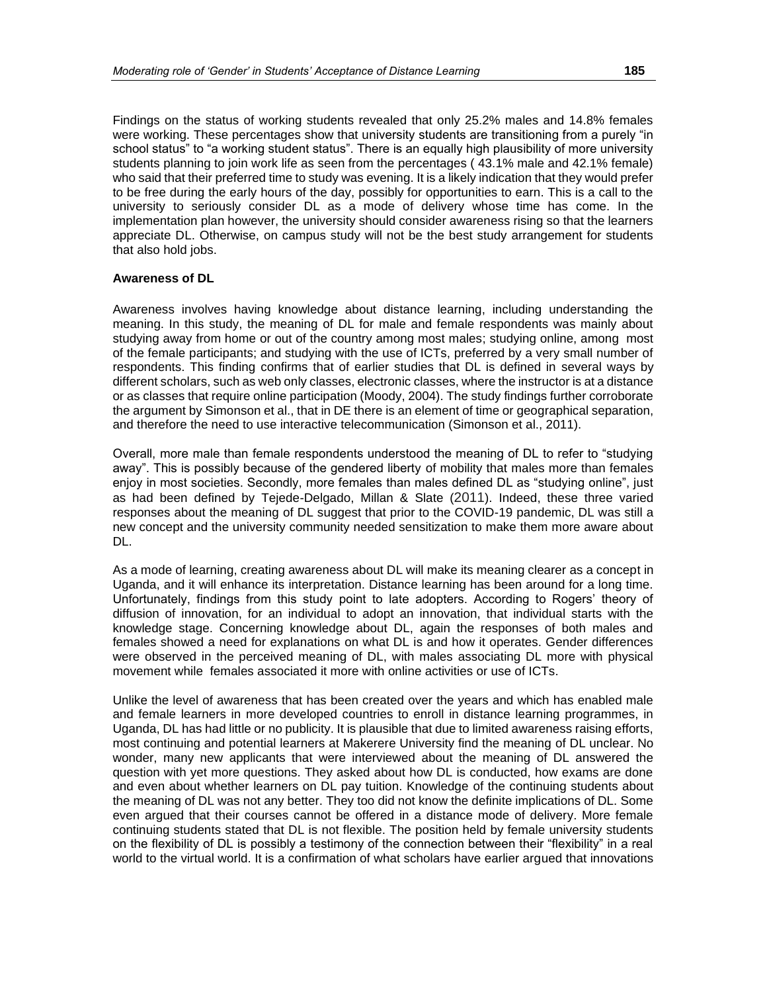Findings on the status of working students revealed that only 25.2% males and 14.8% females were working. These percentages show that university students are transitioning from a purely "in school status" to "a working student status". There is an equally high plausibility of more university students planning to join work life as seen from the percentages ( 43.1% male and 42.1% female) who said that their preferred time to study was evening. It is a likely indication that they would prefer to be free during the early hours of the day, possibly for opportunities to earn. This is a call to the university to seriously consider DL as a mode of delivery whose time has come. In the implementation plan however, the university should consider awareness rising so that the learners appreciate DL. Otherwise, on campus study will not be the best study arrangement for students that also hold jobs.

#### **Awareness of DL**

Awareness involves having knowledge about distance learning, including understanding the meaning. In this study, the meaning of DL for male and female respondents was mainly about studying away from home or out of the country among most males; studying online, among most of the female participants; and studying with the use of ICTs, preferred by a very small number of respondents. This finding confirms that of earlier studies that DL is defined in several ways by different scholars, such as web only classes, electronic classes, where the instructor is at a distance or as classes that require online participation (Moody, 2004). The study findings further corroborate the argument by Simonson et al., that in DE there is an element of time or geographical separation, and therefore the need to use interactive telecommunication (Simonson et al., 2011).

Overall, more male than female respondents understood the meaning of DL to refer to "studying away". This is possibly because of the gendered liberty of mobility that males more than females enjoy in most societies. Secondly, more females than males defined DL as "studying online", just as had been defined by Tejede-Delgado, Millan & Slate (2011). Indeed, these three varied responses about the meaning of DL suggest that prior to the COVID-19 pandemic, DL was still a new concept and the university community needed sensitization to make them more aware about DL.

As a mode of learning, creating awareness about DL will make its meaning clearer as a concept in Uganda, and it will enhance its interpretation. Distance learning has been around for a long time. Unfortunately, findings from this study point to late adopters. According to Rogers' theory of diffusion of innovation, for an individual to adopt an innovation, that individual starts with the knowledge stage. Concerning knowledge about DL, again the responses of both males and females showed a need for explanations on what DL is and how it operates. Gender differences were observed in the perceived meaning of DL, with males associating DL more with physical movement while females associated it more with online activities or use of ICTs.

Unlike the level of awareness that has been created over the years and which has enabled male and female learners in more developed countries to enroll in distance learning programmes, in Uganda, DL has had little or no publicity. It is plausible that due to limited awareness raising efforts, most continuing and potential learners at Makerere University find the meaning of DL unclear. No wonder, many new applicants that were interviewed about the meaning of DL answered the question with yet more questions. They asked about how DL is conducted, how exams are done and even about whether learners on DL pay tuition. Knowledge of the continuing students about the meaning of DL was not any better. They too did not know the definite implications of DL. Some even argued that their courses cannot be offered in a distance mode of delivery. More female continuing students stated that DL is not flexible. The position held by female university students on the flexibility of DL is possibly a testimony of the connection between their "flexibility" in a real world to the virtual world. It is a confirmation of what scholars have earlier argued that innovations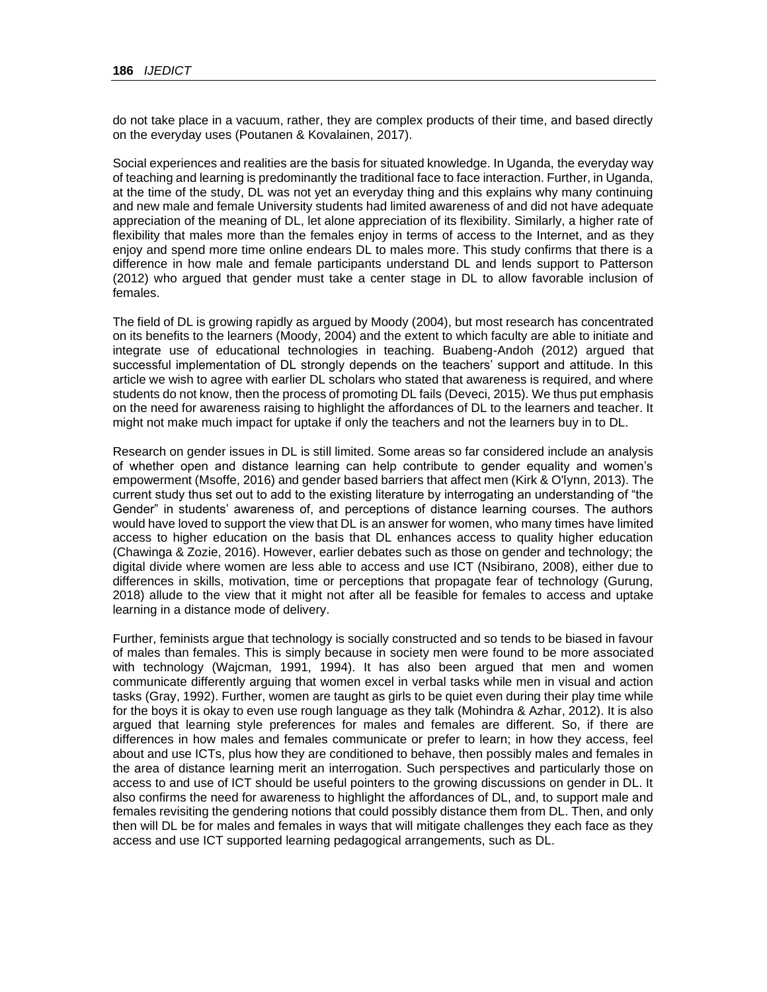do not take place in a vacuum, rather, they are complex products of their time, and based directly on the everyday uses (Poutanen & Kovalainen, 2017).

Social experiences and realities are the basis for situated knowledge. In Uganda, the everyday way of teaching and learning is predominantly the traditional face to face interaction. Further, in Uganda, at the time of the study, DL was not yet an everyday thing and this explains why many continuing and new male and female University students had limited awareness of and did not have adequate appreciation of the meaning of DL, let alone appreciation of its flexibility. Similarly, a higher rate of flexibility that males more than the females enjoy in terms of access to the Internet, and as they enjoy and spend more time online endears DL to males more. This study confirms that there is a difference in how male and female participants understand DL and lends support to Patterson [\(2012\)](#page-32-1) who argued that gender must take a center stage in DL to allow favorable inclusion of females.

The field of DL is growing rapidly as argued by Moody [\(2004\)](#page-31-2), but most research has concentrated on its benefits to the learners (Moody, 2004) and the extent to which faculty are able to initiate and integrate use of educational technologies in teaching. Buabeng-Andoh [\(2012\)](#page-26-2) argued that successful implementation of DL strongly depends on the teachers' support and attitude. In this article we wish to agree with earlier DL scholars who stated that awareness is required, and where students do not know, then the process of promoting DL fails (Deveci, 2015). We thus put emphasis on the need for awareness raising to highlight the affordances of DL to the learners and teacher. It might not make much impact for uptake if only the teachers and not the learners buy in to DL.

Research on gender issues in DL is still limited. Some areas so far considered include an analysis of whether open and distance learning can help contribute to gender equality and women's empowerment (Msoffe, 2016) and gender based barriers that affect men (Kirk & O'lynn, 2013). The current study thus set out to add to the existing literature by interrogating an understanding of "the Gender" in students' awareness of, and perceptions of distance learning courses. The authors would have loved to support the view that DL is an answer for women, who many times have limited access to higher education on the basis that DL enhances access to quality higher education (Chawinga & Zozie, 2016). However, earlier debates such as those on gender and technology; the digital divide where women are less able to access and use ICT (Nsibirano, 2008), either due to differences in skills, motivation, time or perceptions that propagate fear of technology (Gurung, 2018) allude to the view that it might not after all be feasible for females to access and uptake learning in a distance mode of delivery.

Further, feminists argue that technology is socially constructed and so tends to be biased in favour of males than females. This is simply because in society men were found to be more associated with technology (Wajcman, 1991, [1994\)](#page-34-5). It has also been argued that men and women communicate differently arguing that women excel in verbal tasks while men in visual and action tasks (Gray, 1992). Further, women are taught as girls to be quiet even during their play time while for the boys it is okay to even use rough language as they talk (Mohindra & Azhar, 2012). It is also argued that learning style preferences for males and females are different. So, if there are differences in how males and females communicate or prefer to learn; in how they access, feel about and use ICTs, plus how they are conditioned to behave, then possibly males and females in the area of distance learning merit an interrogation. Such perspectives and particularly those on access to and use of ICT should be useful pointers to the growing discussions on gender in DL. It also confirms the need for awareness to highlight the affordances of DL, and, to support male and females revisiting the gendering notions that could possibly distance them from DL. Then, and only then will DL be for males and females in ways that will mitigate challenges they each face as they access and use ICT supported learning pedagogical arrangements, such as DL.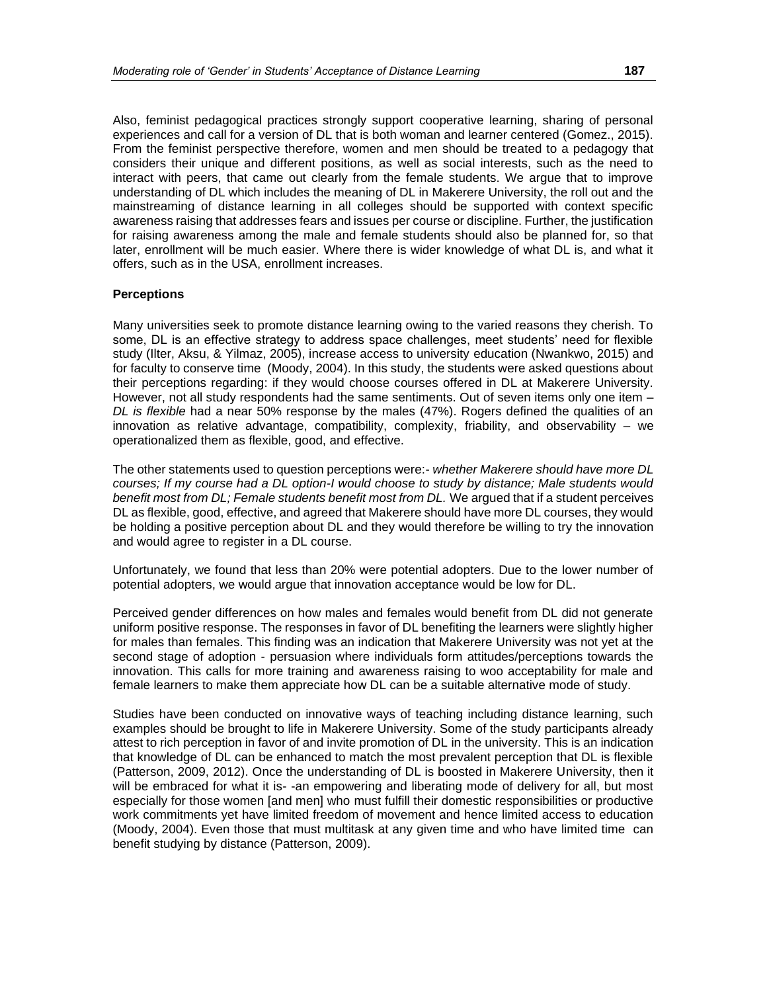Also, feminist pedagogical practices strongly support cooperative learning, sharing of personal experiences and call for a version of DL that is both woman and learner centered (Gomez., 2015). From the feminist perspective therefore, women and men should be treated to a pedagogy that considers their unique and different positions, as well as social interests, such as the need to interact with peers, that came out clearly from the female students. We argue that to improve understanding of DL which includes the meaning of DL in Makerere University, the roll out and the mainstreaming of distance learning in all colleges should be supported with context specific awareness raising that addresses fears and issues per course or discipline. Further, the justification for raising awareness among the male and female students should also be planned for, so that later, enrollment will be much easier. Where there is wider knowledge of what DL is, and what it offers, such as in the USA, enrollment increases.

#### **Perceptions**

Many universities seek to promote distance learning owing to the varied reasons they cherish. To some, DL is an effective strategy to address space challenges, meet students' need for flexible study (Ilter, Aksu, & Yilmaz, 2005), increase access to university education (Nwankwo, 2015) and for faculty to conserve time (Moody, 2004). In this study, the students were asked questions about their perceptions regarding: if they would choose courses offered in DL at Makerere University. However, not all study respondents had the same sentiments. Out of seven items only one item – *DL is flexible* had a near 50% response by the males (47%). Rogers defined the qualities of an innovation as relative advantage, compatibility, complexity, friability, and observability – we operationalized them as flexible, good, and effective.

The other statements used to question perceptions were:- *whether Makerere should have more DL courses; If my course had a DL option-I would choose to study by distance; Male students would benefit most from DL; Female students benefit most from DL.* We argued that if a student perceives DL as flexible, good, effective, and agreed that Makerere should have more DL courses, they would be holding a positive perception about DL and they would therefore be willing to try the innovation and would agree to register in a DL course.

Unfortunately, we found that less than 20% were potential adopters. Due to the lower number of potential adopters, we would argue that innovation acceptance would be low for DL.

Perceived gender differences on how males and females would benefit from DL did not generate uniform positive response. The responses in favor of DL benefiting the learners were slightly higher for males than females. This finding was an indication that Makerere University was not yet at the second stage of adoption - persuasion where individuals form attitudes/perceptions towards the innovation. This calls for more training and awareness raising to woo acceptability for male and female learners to make them appreciate how DL can be a suitable alternative mode of study.

Studies have been conducted on innovative ways of teaching including distance learning, such examples should be brought to life in Makerere University. Some of the study participants already attest to rich perception in favor of and invite promotion of DL in the university. This is an indication that knowledge of DL can be enhanced to match the most prevalent perception that DL is flexible (Patterson, 2009, [2012\)](#page-32-1). Once the understanding of DL is boosted in Makerere University, then it will be embraced for what it is- -an empowering and liberating mode of delivery for all, but most especially for those women [and men] who must fulfill their domestic responsibilities or productive work commitments yet have limited freedom of movement and hence limited access to education (Moody, 2004). Even those that must multitask at any given time and who have limited time can benefit studying by distance (Patterson, 2009).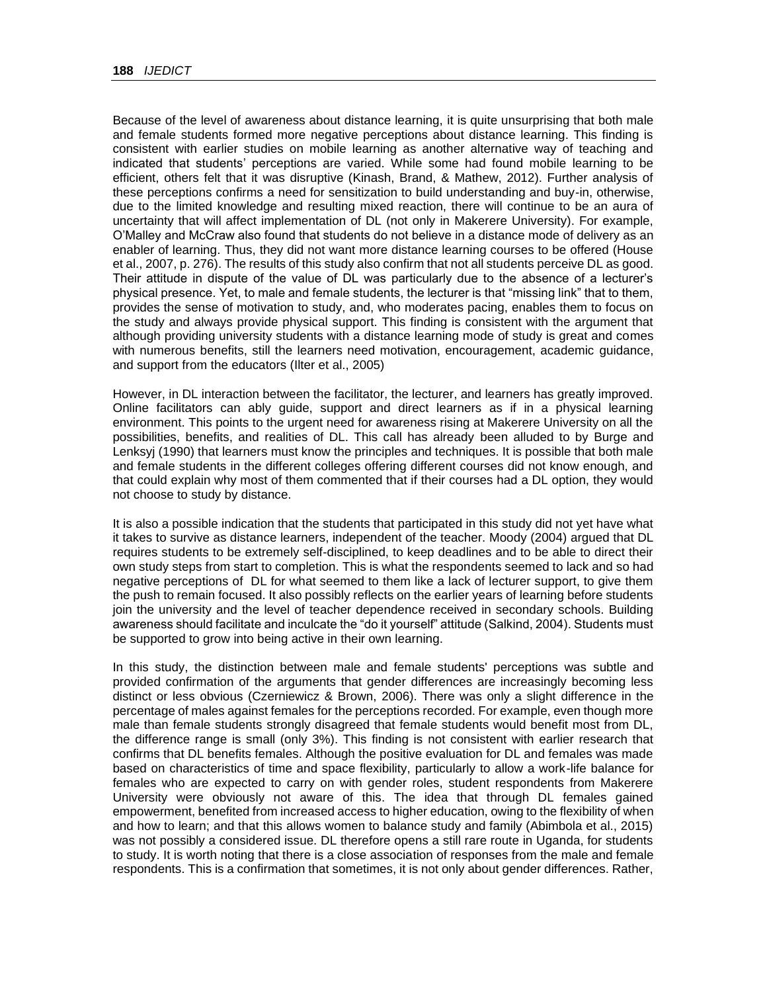Because of the level of awareness about distance learning, it is quite unsurprising that both male and female students formed more negative perceptions about distance learning. This finding is consistent with earlier studies on mobile learning as another alternative way of teaching and indicated that students' perceptions are varied. While some had found mobile learning to be efficient, others felt that it was disruptive (Kinash, Brand, & Mathew, 2012). Further analysis of these perceptions confirms a need for sensitization to build understanding and buy-in, otherwise, due to the limited knowledge and resulting mixed reaction, there will continue to be an aura of uncertainty that will affect implementation of DL (not only in Makerere University). For example, O'Malley and McCraw also found that students do not believe in a distance mode of delivery as an enabler of learning. Thus, they did not want more distance learning courses to be offered (House et al., 2007, [p. 276\)](#page-28-2). The results of this study also confirm that not all students perceive DL as good. Their attitude in dispute of the value of DL was particularly due to the absence of a lecturer's physical presence. Yet, to male and female students, the lecturer is that "missing link" that to them, provides the sense of motivation to study, and, who moderates pacing, enables them to focus on the study and always provide physical support. This finding is consistent with the argument that although providing university students with a distance learning mode of study is great and comes with numerous benefits, still the learners need motivation, encouragement, academic guidance, and support from the educators (Ilter et al., 2005)

However, in DL interaction between the facilitator, the lecturer, and learners has greatly improved. Online facilitators can ably guide, support and direct learners as if in a physical learning environment. This points to the urgent need for awareness rising at Makerere University on all the possibilities, benefits, and realities of DL. This call has already been alluded to by Burge and Lenksyj (1990) that learners must know the principles and techniques. It is possible that both male and female students in the different colleges offering different courses did not know enough, and that could explain why most of them commented that if their courses had a DL option, they would not choose to study by distance.

It is also a possible indication that the students that participated in this study did not yet have what it takes to survive as distance learners, independent of the teacher. Moody [\(2004\)](#page-31-2) argued that DL requires students to be extremely self-disciplined, to keep deadlines and to be able to direct their own study steps from start to completion. This is what the respondents seemed to lack and so had negative perceptions of DL for what seemed to them like a lack of lecturer support, to give them the push to remain focused. It also possibly reflects on the earlier years of learning before students join the university and the level of teacher dependence received in secondary schools. Building awareness should facilitate and inculcate the "do it yourself" attitude (Salkind, 2004). Students must be supported to grow into being active in their own learning.

In this study, the distinction between male and female students' perceptions was subtle and provided confirmation of the arguments that gender differences are increasingly becoming less distinct or less obvious (Czerniewicz & Brown, 2006). There was only a slight difference in the percentage of males against females for the perceptions recorded. For example, even though more male than female students strongly disagreed that female students would benefit most from DL, the difference range is small (only 3%). This finding is not consistent with earlier research that confirms that DL benefits females. Although the positive evaluation for DL and females was made based on characteristics of time and space flexibility, particularly to allow a work-life balance for females who are expected to carry on with gender roles, student respondents from Makerere University were obviously not aware of this. The idea that through DL females gained empowerment, benefited from increased access to higher education, owing to the flexibility of when and how to learn; and that this allows women to balance study and family (Abimbola et al., 2015) was not possibly a considered issue. DL therefore opens a still rare route in Uganda, for students to study. It is worth noting that there is a close association of responses from the male and female respondents. This is a confirmation that sometimes, it is not only about gender differences. Rather,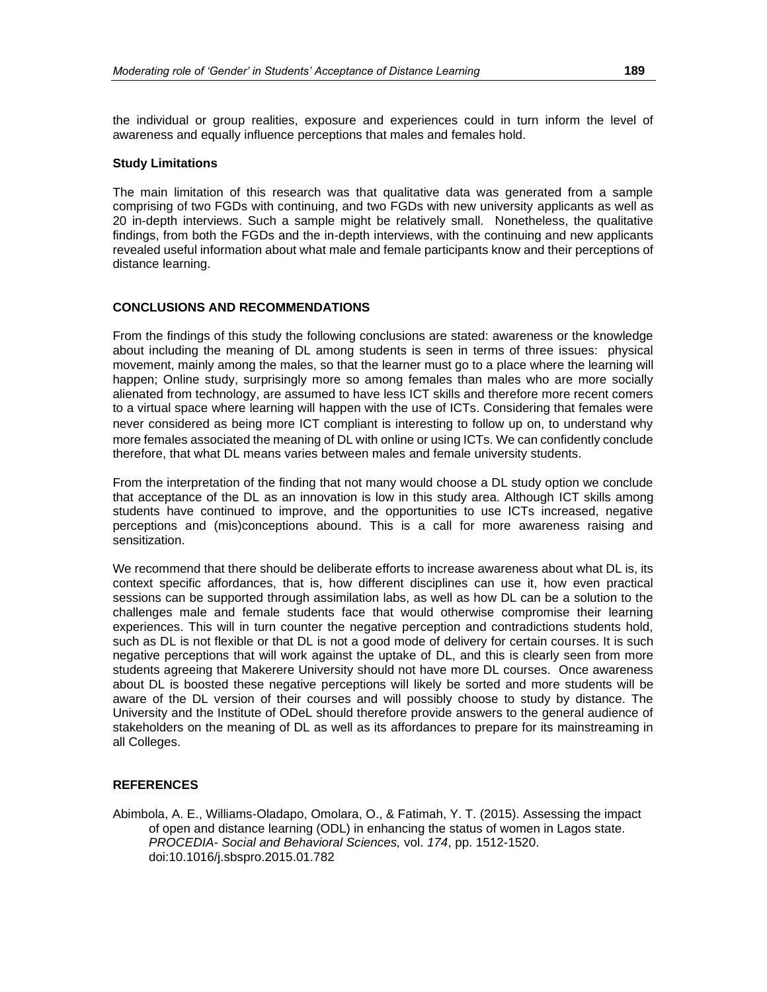the individual or group realities, exposure and experiences could in turn inform the level of awareness and equally influence perceptions that males and females hold.

#### **Study Limitations**

The main limitation of this research was that qualitative data was generated from a sample comprising of two FGDs with continuing, and two FGDs with new university applicants as well as 20 in-depth interviews. Such a sample might be relatively small. Nonetheless, the qualitative findings, from both the FGDs and the in-depth interviews, with the continuing and new applicants revealed useful information about what male and female participants know and their perceptions of distance learning.

#### **CONCLUSIONS AND RECOMMENDATIONS**

From the findings of this study the following conclusions are stated: awareness or the knowledge about including the meaning of DL among students is seen in terms of three issues: physical movement, mainly among the males, so that the learner must go to a place where the learning will happen; Online study, surprisingly more so among females than males who are more socially alienated from technology, are assumed to have less ICT skills and therefore more recent comers to a virtual space where learning will happen with the use of ICTs. Considering that females were never considered as being more ICT compliant is interesting to follow up on, to understand why more females associated the meaning of DL with online or using ICTs. We can confidently conclude therefore, that what DL means varies between males and female university students.

From the interpretation of the finding that not many would choose a DL study option we conclude that acceptance of the DL as an innovation is low in this study area. Although ICT skills among students have continued to improve, and the opportunities to use ICTs increased, negative perceptions and (mis)conceptions abound. This is a call for more awareness raising and sensitization.

We recommend that there should be deliberate efforts to increase awareness about what DL is, its context specific affordances, that is, how different disciplines can use it, how even practical sessions can be supported through assimilation labs, as well as how DL can be a solution to the challenges male and female students face that would otherwise compromise their learning experiences. This will in turn counter the negative perception and contradictions students hold, such as DL is not flexible or that DL is not a good mode of delivery for certain courses. It is such negative perceptions that will work against the uptake of DL, and this is clearly seen from more students agreeing that Makerere University should not have more DL courses. Once awareness about DL is boosted these negative perceptions will likely be sorted and more students will be aware of the DL version of their courses and will possibly choose to study by distance. The University and the Institute of ODeL should therefore provide answers to the general audience of stakeholders on the meaning of DL as well as its affordances to prepare for its mainstreaming in all Colleges.

#### **REFERENCES**

Abimbola, A. E., Williams-Oladapo, Omolara, O., & Fatimah, Y. T. (2015). Assessing the impact of open and distance learning (ODL) in enhancing the status of women in Lagos state. *PROCEDIA- Social and Behavioral Sciences,* vol. *174*, pp. 1512-1520. doi:10.1016/j.sbspro.2015.01.782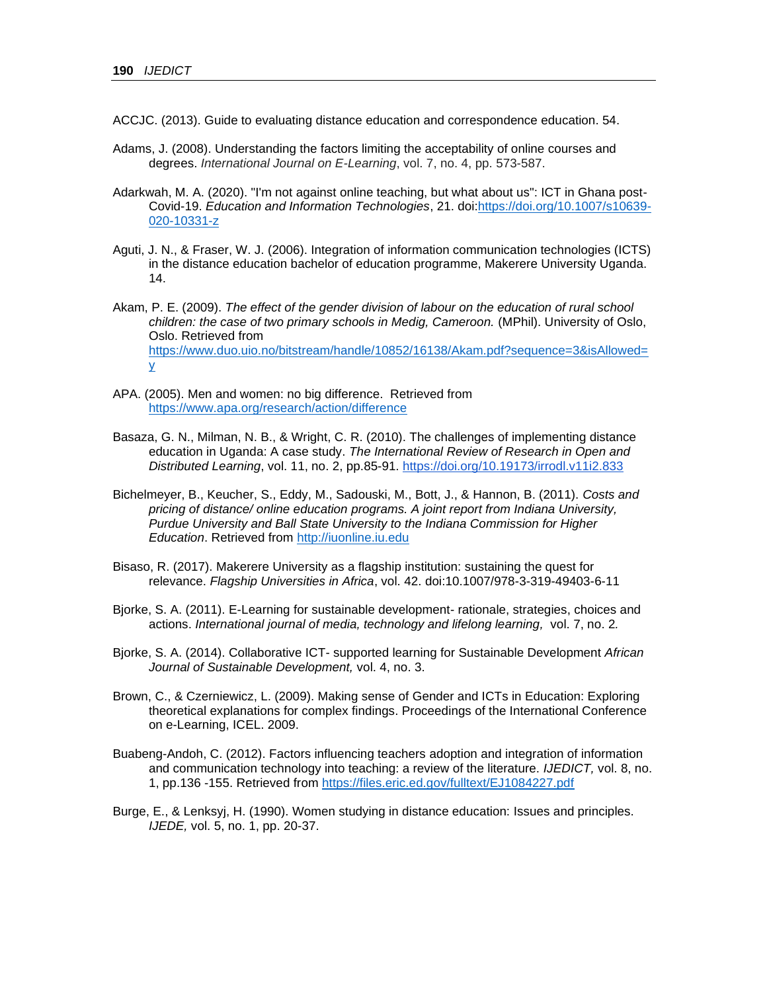- ACCJC. (2013). Guide to evaluating distance education and correspondence education. 54.
- Adams, J. (2008). Understanding the factors limiting the acceptability of online courses and degrees. *International Journal on E-Learning*, vol. 7, no. 4, pp. 573-587.
- Adarkwah, M. A. (2020). "I'm not against online teaching, but what about us": ICT in Ghana post-Covid-19. *Education and Information Technologies*, 21. doi[:https://doi.org/10.1007/s10639-](https://doi.org/10.1007/s10639-020-10331-z) [020-10331-z](https://doi.org/10.1007/s10639-020-10331-z)
- Aguti, J. N., & Fraser, W. J. (2006). Integration of information communication technologies (ICTS) in the distance education bachelor of education programme, Makerere University Uganda. 14.
- <span id="page-26-1"></span>Akam, P. E. (2009). *The effect of the gender division of labour on the education of rural school children: the case of two primary schools in Medig, Cameroon.* (MPhil). University of Oslo, Oslo. Retrieved from [https://www.duo.uio.no/bitstream/handle/10852/16138/Akam.pdf?sequence=3&isAllowed=](https://www.duo.uio.no/bitstream/handle/10852/16138/Akam.pdf?sequence=3&isAllowed=y) [y](https://www.duo.uio.no/bitstream/handle/10852/16138/Akam.pdf?sequence=3&isAllowed=y)
- APA. (2005). Men and women: no big difference. Retrieved from <https://www.apa.org/research/action/difference>
- Basaza, G. N., Milman, N. B., & Wright, C. R. (2010). The challenges of implementing distance education in Uganda: A case study. *The International Review of Research in Open and Distributed Learning*, vol. 11, no. 2, pp.85-91.<https://doi.org/10.19173/irrodl.v11i2.833>
- Bichelmeyer, B., Keucher, S., Eddy, M., Sadouski, M., Bott, J., & Hannon, B. (2011). *Costs and pricing of distance/ online education programs. A joint report from Indiana University, Purdue University and Ball State University to the Indiana Commission for Higher Education*. Retrieved from [http://iuonline.iu.edu](http://iuonline.iu.edu/)
- <span id="page-26-0"></span>Bisaso, R. (2017). Makerere University as a flagship institution: sustaining the quest for relevance. *Flagship Universities in Africa*, vol. 42. doi:10.1007/978-3-319-49403-6-11
- Bjorke, S. A. (2011). E-Learning for sustainable development- rationale, strategies, choices and actions. *International journal of media, technology and lifelong learning,* vol. 7, no. 2*.*
- Bjorke, S. A. (2014). Collaborative ICT- supported learning for Sustainable Development *African Journal of Sustainable Development,* vol. 4, no. 3.
- Brown, C., & Czerniewicz, L. (2009). Making sense of Gender and ICTs in Education: Exploring theoretical explanations for complex findings. Proceedings of the International Conference on e-Learning, ICEL. 2009.
- <span id="page-26-2"></span>Buabeng-Andoh, C. (2012). Factors influencing teachers adoption and integration of information and communication technology into teaching: a review of the literature. *IJEDICT,* vol. 8, no. 1, pp.136 -155. Retrieved from<https://files.eric.ed.gov/fulltext/EJ1084227.pdf>
- Burge, E., & Lenksyj, H. (1990). Women studying in distance education: Issues and principles. *IJEDE,* vol. 5, no. 1, pp. 20-37.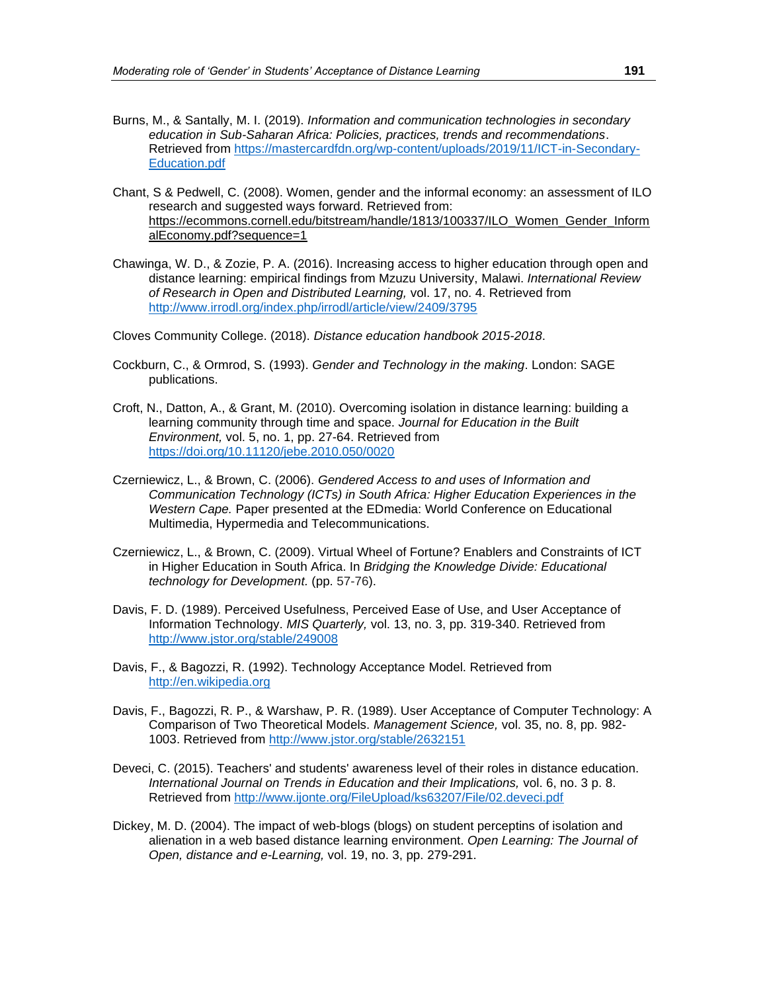- Burns, M., & Santally, M. I. (2019). *Information and communication technologies in secondary education in Sub-Saharan Africa: Policies, practices, trends and recommendations*. Retrieved from [https://mastercardfdn.org/wp-content/uploads/2019/11/ICT-in-Secondary-](https://mastercardfdn.org/wp-content/uploads/2019/11/ICT-in-Secondary-Education.pdf)[Education.pdf](https://mastercardfdn.org/wp-content/uploads/2019/11/ICT-in-Secondary-Education.pdf)
- Chant, S & Pedwell, C. (2008). Women, gender and the informal economy: an assessment of ILO research and suggested ways forward. Retrieved from: [https://ecommons.cornell.edu/bitstream/handle/1813/100337/ILO\\_Women\\_Gender\\_Inform](https://ecommons.cornell.edu/bitstream/handle/1813/100337/ILO_Women_Gender_InformalEconomy.pdf?sequence=1) [alEconomy.pdf?sequence=1](https://ecommons.cornell.edu/bitstream/handle/1813/100337/ILO_Women_Gender_InformalEconomy.pdf?sequence=1)
- Chawinga, W. D., & Zozie, P. A. (2016). Increasing access to higher education through open and distance learning: empirical findings from Mzuzu University, Malawi. *International Review of Research in Open and Distributed Learning,* vol. 17, no. 4. Retrieved from <http://www.irrodl.org/index.php/irrodl/article/view/2409/3795>

<span id="page-27-0"></span>Cloves Community College. (2018). *Distance education handbook 2015-2018*.

- Cockburn, C., & Ormrod, S. (1993). *Gender and Technology in the making*. London: SAGE publications.
- Croft, N., Datton, A., & Grant, M. (2010). Overcoming isolation in distance learning: building a learning community through time and space. *Journal for Education in the Built Environment,* vol. 5, no. 1, pp. 27-64. Retrieved from <https://doi.org/10.11120/jebe.2010.050/0020>
- Czerniewicz, L., & Brown, C. (2006). *Gendered Access to and uses of Information and Communication Technology (ICTs) in South Africa: Higher Education Experiences in the Western Cape.* Paper presented at the EDmedia: World Conference on Educational Multimedia, Hypermedia and Telecommunications.
- Czerniewicz, L., & Brown, C. (2009). Virtual Wheel of Fortune? Enablers and Constraints of ICT in Higher Education in South Africa. In *Bridging the Knowledge Divide: Educational technology for Development.* (pp. 57-76).
- <span id="page-27-1"></span>Davis, F. D. (1989). Perceived Usefulness, Perceived Ease of Use, and User Acceptance of Information Technology. *MIS Quarterly,* vol. 13, no. 3, pp. 319-340. Retrieved from <http://www.jstor.org/stable/249008>
- Davis, F., & Bagozzi, R. (1992). Technology Acceptance Model. Retrieved from [http://en.wikipedia.org](http://en.wikipedia.org/)
- Davis, F., Bagozzi, R. P., & Warshaw, P. R. (1989). User Acceptance of Computer Technology: A Comparison of Two Theoretical Models. *Management Science,* vol. 35, no. 8, pp. 982- 1003. Retrieved from<http://www.jstor.org/stable/2632151>
- Deveci, C. (2015). Teachers' and students' awareness level of their roles in distance education. *International Journal on Trends in Education and their Implications,* vol. 6, no. 3 p. 8. Retrieved from<http://www.ijonte.org/FileUpload/ks63207/File/02.deveci.pdf>
- Dickey, M. D. (2004). The impact of web-blogs (blogs) on student perceptins of isolation and alienation in a web based distance learning environment. *Open Learning: The Journal of Open, distance and e-Learning,* vol. 19, no. 3, pp. 279-291.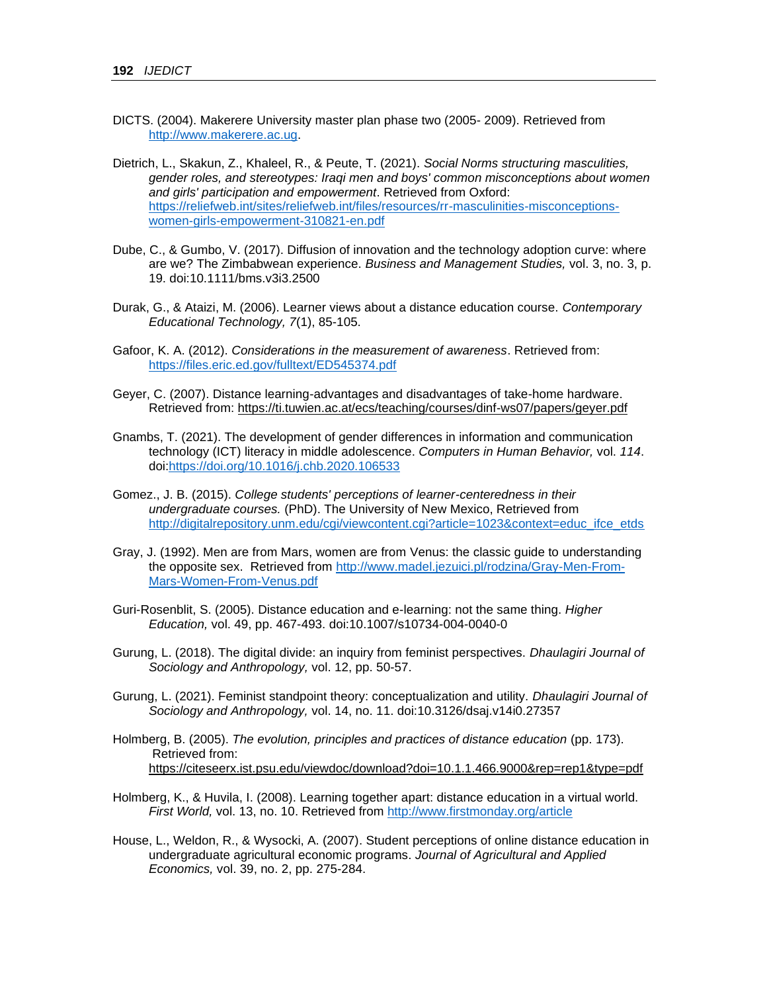- <span id="page-28-0"></span>DICTS. (2004). Makerere University master plan phase two (2005- 2009). Retrieved from [http://www.makerere.ac.ug.](http://www.makerere.ac.ug/)
- Dietrich, L., Skakun, Z., Khaleel, R., & Peute, T. (2021). *Social Norms structuring masculities, gender roles, and stereotypes: Iraqi men and boys' common misconceptions about women and girls' participation and empowerment*. Retrieved from Oxford: [https://reliefweb.int/sites/reliefweb.int/files/resources/rr-masculinities-misconceptions](https://reliefweb.int/sites/reliefweb.int/files/resources/rr-masculinities-misconceptions-women-girls-empowerment-310821-en.pdf)[women-girls-empowerment-310821-en.pdf](https://reliefweb.int/sites/reliefweb.int/files/resources/rr-masculinities-misconceptions-women-girls-empowerment-310821-en.pdf)
- Dube, C., & Gumbo, V. (2017). Diffusion of innovation and the technology adoption curve: where are we? The Zimbabwean experience. *Business and Management Studies,* vol. 3, no. 3, p. 19. doi:10.1111/bms.v3i3.2500
- <span id="page-28-1"></span>Durak, G., & Ataizi, M. (2006). Learner views about a distance education course. *Contemporary Educational Technology, 7*(1), 85-105.
- Gafoor, K. A. (2012). *Considerations in the measurement of awareness*. Retrieved from: <https://files.eric.ed.gov/fulltext/ED545374.pdf>
- Geyer, C. (2007). Distance learning-advantages and disadvantages of take-home hardware. Retrieved from:<https://ti.tuwien.ac.at/ecs/teaching/courses/dinf-ws07/papers/geyer.pdf>
- Gnambs, T. (2021). The development of gender differences in information and communication technology (ICT) literacy in middle adolescence. *Computers in Human Behavior,* vol. *114*. doi[:https://doi.org/10.1016/j.chb.2020.106533](https://doi.org/10.1016/j.chb.2020.106533)
- Gomez., J. B. (2015). *College students' perceptions of learner-centeredness in their undergraduate courses.* (PhD). The University of New Mexico, Retrieved from [http://digitalrepository.unm.edu/cgi/viewcontent.cgi?article=1023&context=educ\\_ifce\\_etds](http://digitalrepository.unm.edu/cgi/viewcontent.cgi?article=1023&context=educ_ifce_etds)
- Gray, J. (1992). Men are from Mars, women are from Venus: the classic guide to understanding the opposite sex. Retrieved from [http://www.madel.jezuici.pl/rodzina/Gray-Men-From-](http://www.madel.jezuici.pl/rodzina/Gray-Men-From-Mars-Women-From-Venus.pdf)[Mars-Women-From-Venus.pdf](http://www.madel.jezuici.pl/rodzina/Gray-Men-From-Mars-Women-From-Venus.pdf)
- Guri-Rosenblit, S. (2005). Distance education and e-learning: not the same thing. *Higher Education,* vol. 49, pp. 467-493. doi:10.1007/s10734-004-0040-0
- Gurung, L. (2018). The digital divide: an inquiry from feminist perspectives. *Dhaulagiri Journal of Sociology and Anthropology,* vol. 12, pp. 50-57.
- Gurung, L. (2021). Feminist standpoint theory: conceptualization and utility. *Dhaulagiri Journal of Sociology and Anthropology,* vol. 14, no. 11. doi:10.3126/dsaj.v14i0.27357
- Holmberg, B. (2005). *The evolution, principles and practices of distance education* (pp. 173). Retrieved from: <https://citeseerx.ist.psu.edu/viewdoc/download?doi=10.1.1.466.9000&rep=rep1&type=pdf>
- Holmberg, K., & Huvila, I. (2008). Learning together apart: distance education in a virtual world. *First World,* vol. 13, no. 10. Retrieved from<http://www.firstmonday.org/article>
- <span id="page-28-2"></span>House, L., Weldon, R., & Wysocki, A. (2007). Student perceptions of online distance education in undergraduate agricultural economic programs. *Journal of Agricultural and Applied Economics,* vol. 39, no. 2, pp. 275-284.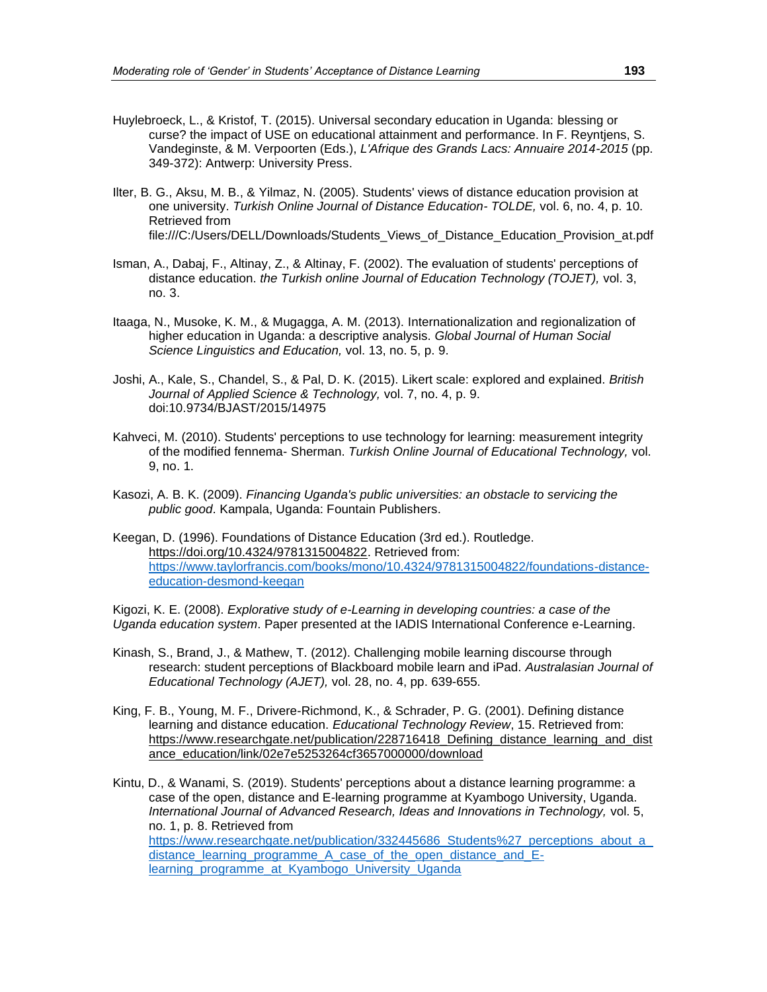- Huylebroeck, L., & Kristof, T. (2015). Universal secondary education in Uganda: blessing or curse? the impact of USE on educational attainment and performance. In F. Reyntjens, S. Vandeginste, & M. Verpoorten (Eds.), *L'Afrique des Grands Lacs: Annuaire 2014-2015* (pp. 349-372): Antwerp: University Press.
- Ilter, B. G., Aksu, M. B., & Yilmaz, N. (2005). Students' views of distance education provision at one university. *Turkish Online Journal of Distance Education- TOLDE,* vol. 6, no. 4, p. 10. Retrieved from file:///C:/Users/DELL/Downloads/Students\_Views\_of\_Distance\_Education\_Provision\_at.pdf
- Isman, A., Dabaj, F., Altinay, Z., & Altinay, F. (2002). The evaluation of students' perceptions of distance education. *the Turkish online Journal of Education Technology (TOJET),* vol. 3, no. 3.
- <span id="page-29-0"></span>Itaaga, N., Musoke, K. M., & Mugagga, A. M. (2013). Internationalization and regionalization of higher education in Uganda: a descriptive analysis. *Global Journal of Human Social Science Linguistics and Education,* vol. 13, no. 5, p. 9.
- <span id="page-29-2"></span>Joshi, A., Kale, S., Chandel, S., & Pal, D. K. (2015). Likert scale: explored and explained. *British Journal of Applied Science & Technology,* vol. 7, no. 4, p. 9. doi:10.9734/BJAST/2015/14975
- Kahveci, M. (2010). Students' perceptions to use technology for learning: measurement integrity of the modified fennema- Sherman. *Turkish Online Journal of Educational Technology,* vol. 9, no. 1.
- Kasozi, A. B. K. (2009). *Financing Uganda's public universities: an obstacle to servicing the public good*. Kampala, Uganda: Fountain Publishers.
- Keegan, D. (1996). Foundations of Distance Education (3rd ed.). Routledge. [https://doi.org/10.4324/9781315004822.](https://doi.org/10.4324/9781315004822) Retrieved from: [https://www.taylorfrancis.com/books/mono/10.4324/9781315004822/foundations-distance](https://www.taylorfrancis.com/books/mono/10.4324/9781315004822/foundations-distance-education-desmond-keegan)[education-desmond-keegan](https://www.taylorfrancis.com/books/mono/10.4324/9781315004822/foundations-distance-education-desmond-keegan)

Kigozi, K. E. (2008). *Explorative study of e-Learning in developing countries: a case of the Uganda education system*. Paper presented at the IADIS International Conference e-Learning.

- Kinash, S., Brand, J., & Mathew, T. (2012). Challenging mobile learning discourse through research: student perceptions of Blackboard mobile learn and iPad. *Australasian Journal of Educational Technology (AJET),* vol. 28, no. 4, pp. 639-655.
- King, F. B., Young, M. F., Drivere-Richmond, K., & Schrader, P. G. (2001). Defining distance learning and distance education. *Educational Technology Review*, 15. Retrieved from: https://www.researchgate.net/publication/228716418 Defining distance learning and dist [ance\\_education/link/02e7e5253264cf3657000000/download](https://www.researchgate.net/publication/228716418_Defining_distance_learning_and_distance_education/link/02e7e5253264cf3657000000/download)
- <span id="page-29-1"></span>Kintu, D., & Wanami, S. (2019). Students' perceptions about a distance learning programme: a case of the open, distance and E-learning programme at Kyambogo University, Uganda. *International Journal of Advanced Research, Ideas and Innovations in Technology,* vol. 5, no. 1, p. 8. Retrieved from [https://www.researchgate.net/publication/332445686\\_Students%27\\_perceptions\\_about\\_a\\_](https://www.researchgate.net/publication/332445686_Students%27_perceptions_about_a_distance_learning_programme_A_case_of_the_open_distance_and_E-learning_programme_at_Kyambogo_University_Uganda) [distance\\_learning\\_programme\\_A\\_case\\_of\\_the\\_open\\_distance\\_and\\_E](https://www.researchgate.net/publication/332445686_Students%27_perceptions_about_a_distance_learning_programme_A_case_of_the_open_distance_and_E-learning_programme_at_Kyambogo_University_Uganda)learning programme at Kyambogo University Uganda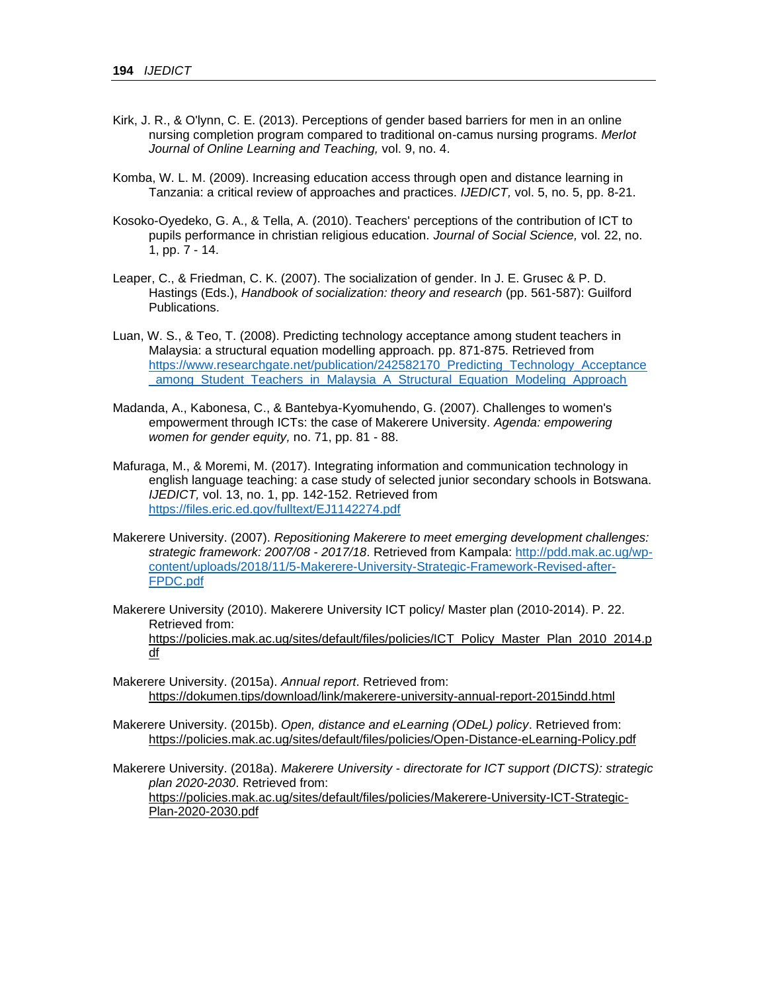- Kirk, J. R., & O'lynn, C. E. (2013). Perceptions of gender based barriers for men in an online nursing completion program compared to traditional on-camus nursing programs. *Merlot Journal of Online Learning and Teaching,* vol. 9, no. 4.
- Komba, W. L. M. (2009). Increasing education access through open and distance learning in Tanzania: a critical review of approaches and practices. *IJEDICT,* vol. 5, no. 5, pp. 8-21.
- Kosoko-Oyedeko, G. A., & Tella, A. (2010). Teachers' perceptions of the contribution of ICT to pupils performance in christian religious education. *Journal of Social Science,* vol. 22, no. 1, pp. 7 - 14.
- Leaper, C., & Friedman, C. K. (2007). The socialization of gender. In J. E. Grusec & P. D. Hastings (Eds.), *Handbook of socialization: theory and research* (pp. 561-587): Guilford Publications.
- <span id="page-30-2"></span>Luan, W. S., & Teo, T. (2008). Predicting technology acceptance among student teachers in Malaysia: a structural equation modelling approach. pp. 871-875. Retrieved from [https://www.researchgate.net/publication/242582170\\_Predicting\\_Technology\\_Acceptance](https://www.researchgate.net/publication/242582170_Predicting_Technology_Acceptance_among_Student_Teachers_in_Malaysia_A_Structural_Equation_Modeling_Approach) [\\_among\\_Student\\_Teachers\\_in\\_Malaysia\\_A\\_Structural\\_Equation\\_Modeling\\_Approach](https://www.researchgate.net/publication/242582170_Predicting_Technology_Acceptance_among_Student_Teachers_in_Malaysia_A_Structural_Equation_Modeling_Approach)
- Madanda, A., Kabonesa, C., & Bantebya-Kyomuhendo, G. (2007). Challenges to women's empowerment through ICTs: the case of Makerere University. *Agenda: empowering women for gender equity,* no. 71, pp. 81 - 88.
- Mafuraga, M., & Moremi, M. (2017). Integrating information and communication technology in english language teaching: a case study of selected junior secondary schools in Botswana. *IJEDICT,* vol. 13, no. 1, pp. 142-152. Retrieved from <https://files.eric.ed.gov/fulltext/EJ1142274.pdf>
- Makerere University. (2007). *Repositioning Makerere to meet emerging development challenges: strategic framework: 2007/08 - 2017/18*. Retrieved from Kampala: [http://pdd.mak.ac.ug/wp](http://pdd.mak.ac.ug/wp-content/uploads/2018/11/5-Makerere-University-Strategic-Framework-Revised-after-FPDC.pdf)[content/uploads/2018/11/5-Makerere-University-Strategic-Framework-Revised-after-](http://pdd.mak.ac.ug/wp-content/uploads/2018/11/5-Makerere-University-Strategic-Framework-Revised-after-FPDC.pdf)[FPDC.pdf](http://pdd.mak.ac.ug/wp-content/uploads/2018/11/5-Makerere-University-Strategic-Framework-Revised-after-FPDC.pdf)
- Makerere University (2010). Makerere University ICT policy/ Master plan (2010-2014). P. 22. Retrieved from: [https://policies.mak.ac.ug/sites/default/files/policies/ICT\\_Policy\\_Master\\_Plan\\_2010\\_2014.p](https://policies.mak.ac.ug/sites/default/files/policies/ICT_Policy_Master_Plan_2010_2014.pdf) [df](https://policies.mak.ac.ug/sites/default/files/policies/ICT_Policy_Master_Plan_2010_2014.pdf)
- Makerere University. (2015a). *Annual report*. Retrieved from: <https://dokumen.tips/download/link/makerere-university-annual-report-2015indd.html>
- <span id="page-30-1"></span>Makerere University. (2015b). *Open, distance and eLearning (ODeL) policy*. Retrieved from: <https://policies.mak.ac.ug/sites/default/files/policies/Open-Distance-eLearning-Policy.pdf>

<span id="page-30-0"></span>Makerere University. (2018a). *Makerere University - directorate for ICT support (DICTS): strategic plan 2020-2030*. Retrieved from: [https://policies.mak.ac.ug/sites/default/files/policies/Makerere-University-ICT-Strategic-](https://policies.mak.ac.ug/sites/default/files/policies/Makerere-University-ICT-Strategic-Plan-2020-2030.pdf)[Plan-2020-2030.pdf](https://policies.mak.ac.ug/sites/default/files/policies/Makerere-University-ICT-Strategic-Plan-2020-2030.pdf)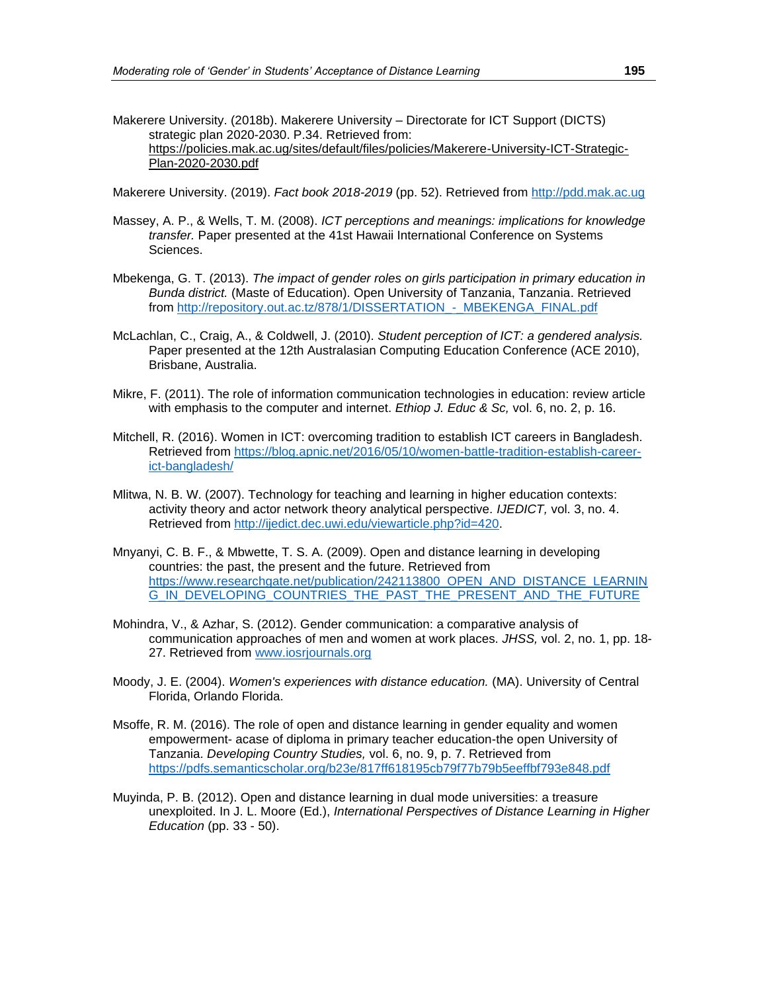Makerere University. (2018b). Makerere University – Directorate for ICT Support (DICTS) strategic plan 2020-2030. P.34. Retrieved from: [https://policies.mak.ac.ug/sites/default/files/policies/Makerere-University-ICT-Strategic-](https://policies.mak.ac.ug/sites/default/files/policies/Makerere-University-ICT-Strategic-Plan-2020-2030.pdf)[Plan-2020-2030.pdf](https://policies.mak.ac.ug/sites/default/files/policies/Makerere-University-ICT-Strategic-Plan-2020-2030.pdf)

<span id="page-31-0"></span>Makerere University. (2019). *Fact book 2018-2019* (pp. 52). Retrieved from [http://pdd.mak.ac.ug](http://pdd.mak.ac.ug/)

- Massey, A. P., & Wells, T. M. (2008). *ICT perceptions and meanings: implications for knowledge transfer.* Paper presented at the 41st Hawaii International Conference on Systems Sciences.
- Mbekenga, G. T. (2013). *The impact of gender roles on girls participation in primary education in Bunda district.* (Maste of Education). Open University of Tanzania, Tanzania. Retrieved from [http://repository.out.ac.tz/878/1/DISSERTATION\\_-\\_MBEKENGA\\_FINAL.pdf](http://repository.out.ac.tz/878/1/DISSERTATION_-_MBEKENGA_FINAL.pdf)
- McLachlan, C., Craig, A., & Coldwell, J. (2010). *Student perception of ICT: a gendered analysis.* Paper presented at the 12th Australasian Computing Education Conference (ACE 2010), Brisbane, Australia.
- Mikre, F. (2011). The role of information communication technologies in education: review article with emphasis to the computer and internet. *Ethiop J. Educ & Sc,* vol. 6, no. 2, p. 16.
- Mitchell, R. (2016). Women in ICT: overcoming tradition to establish ICT careers in Bangladesh. Retrieved from [https://blog.apnic.net/2016/05/10/women-battle-tradition-establish-career](https://blog.apnic.net/2016/05/10/women-battle-tradition-establish-career-ict-bangladesh/)[ict-bangladesh/](https://blog.apnic.net/2016/05/10/women-battle-tradition-establish-career-ict-bangladesh/)
- Mlitwa, N. B. W. (2007). Technology for teaching and learning in higher education contexts: activity theory and actor network theory analytical perspective. *IJEDICT,* vol. 3, no. 4. Retrieved from [http://ijedict.dec.uwi.edu/viewarticle.php?id=420.](http://ijedict.dec.uwi.edu/viewarticle.php?id=420)
- Mnyanyi, C. B. F., & Mbwette, T. S. A. (2009). Open and distance learning in developing countries: the past, the present and the future. Retrieved from [https://www.researchgate.net/publication/242113800\\_OPEN\\_AND\\_DISTANCE\\_LEARNIN](https://www.researchgate.net/publication/242113800_OPEN_AND_DISTANCE_LEARNING_IN_DEVELOPING_COUNTRIES_THE_PAST_THE_PRESENT_AND_THE_FUTURE) [G\\_IN\\_DEVELOPING\\_COUNTRIES\\_THE\\_PAST\\_THE\\_PRESENT\\_AND\\_THE\\_FUTURE](https://www.researchgate.net/publication/242113800_OPEN_AND_DISTANCE_LEARNING_IN_DEVELOPING_COUNTRIES_THE_PAST_THE_PRESENT_AND_THE_FUTURE)
- Mohindra, V., & Azhar, S. (2012). Gender communication: a comparative analysis of communication approaches of men and women at work places. *JHSS,* vol. 2, no. 1, pp. 18 27. Retrieved from [www.iosrjournals.org](about:blank)
- <span id="page-31-2"></span>Moody, J. E. (2004). *Women's experiences with distance education.* (MA). University of Central Florida, Orlando Florida.
- <span id="page-31-1"></span>Msoffe, R. M. (2016). The role of open and distance learning in gender equality and women empowerment- acase of diploma in primary teacher education-the open University of Tanzania. *Developing Country Studies,* vol. 6, no. 9, p. 7. Retrieved from <https://pdfs.semanticscholar.org/b23e/817ff618195cb79f77b79b5eeffbf793e848.pdf>
- Muyinda, P. B. (2012). Open and distance learning in dual mode universities: a treasure unexploited. In J. L. Moore (Ed.), *International Perspectives of Distance Learning in Higher Education* (pp. 33 - 50).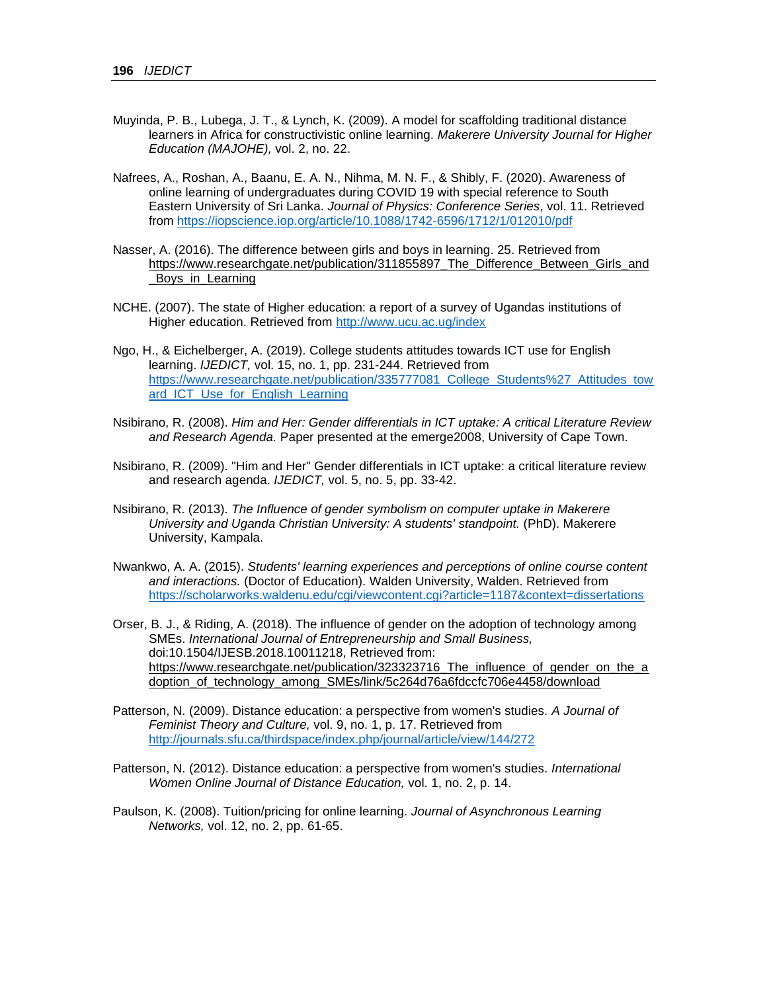- <span id="page-32-3"></span>Muyinda, P. B., Lubega, J. T., & Lynch, K. (2009). A model for scaffolding traditional distance learners in Africa for constructivistic online learning. *Makerere University Journal for Higher Education (MAJOHE),* vol. 2, no. 22.
- Nafrees, A., Roshan, A., Baanu, E. A. N., Nihma, M. N. F., & Shibly, F. (2020). Awareness of online learning of undergraduates during COVID 19 with special reference to South Eastern University of Sri Lanka. *Journal of Physics: Conference Series*, vol. 11. Retrieved from<https://iopscience.iop.org/article/10.1088/1742-6596/1712/1/012010/pdf>
- Nasser, A. (2016). The difference between girls and boys in learning. 25. Retrieved from [https://www.researchgate.net/publication/311855897\\_The\\_Difference\\_Between\\_Girls\\_and](https://www.researchgate.net/publication/311855897_The_Difference_Between_Girls_and_Boys_in_Learning) Boys in Learning
- <span id="page-32-0"></span>NCHE. (2007). The state of Higher education: a report of a survey of Ugandas institutions of Higher education. Retrieved from<http://www.ucu.ac.ug/index>
- Ngo, H., & Eichelberger, A. (2019). College students attitudes towards ICT use for English learning. *IJEDICT,* vol. 15, no. 1, pp. 231-244. Retrieved from [https://www.researchgate.net/publication/335777081\\_College\\_Students%27\\_Attitudes\\_tow](https://www.researchgate.net/publication/335777081_College_Students%27_Attitudes_toward_ICT_Use_for_English_Learning) ard ICT Use for English Learning
- Nsibirano, R. (2008). *Him and Her: Gender differentials in ICT uptake: A critical Literature Review and Research Agenda.* Paper presented at the emerge2008, University of Cape Town.
- Nsibirano, R. (2009). "Him and Her" Gender differentials in ICT uptake: a critical literature review and research agenda. *IJEDICT,* vol. 5, no. 5, pp. 33-42.
- Nsibirano, R. (2013). *The Influence of gender symbolism on computer uptake in Makerere University and Uganda Christian University: A students' standpoint.* (PhD). Makerere University, Kampala.
- Nwankwo, A. A. (2015). *Students' learning experiences and perceptions of online course content and interactions.* (Doctor of Education). Walden University, Walden. Retrieved from <https://scholarworks.waldenu.edu/cgi/viewcontent.cgi?article=1187&context=dissertations>
- Orser, B. J., & Riding, A. (2018). The influence of gender on the adoption of technology among SMEs. *International Journal of Entrepreneurship and Small Business,* doi:10.1504/IJESB.2018.10011218, Retrieved from: https://www.researchgate.net/publication/323323716 The influence of gender on the a [doption\\_of\\_technology\\_among\\_SMEs/link/5c264d76a6fdccfc706e4458/download](https://www.researchgate.net/publication/323323716_The_influence_of_gender_on_the_adoption_of_technology_among_SMEs/link/5c264d76a6fdccfc706e4458/download)
- Patterson, N. (2009). Distance education: a perspective from women's studies. *A Journal of Feminist Theory and Culture,* vol. 9, no. 1, p. 17. Retrieved from <http://journals.sfu.ca/thirdspace/index.php/journal/article/view/144/272>
- <span id="page-32-1"></span>Patterson, N. (2012). Distance education: a perspective from women's studies. *International Women Online Journal of Distance Education,* vol. 1, no. 2, p. 14.
- <span id="page-32-2"></span>Paulson, K. (2008). Tuition/pricing for online learning. *Journal of Asynchronous Learning Networks,* vol. 12, no. 2, pp. 61-65.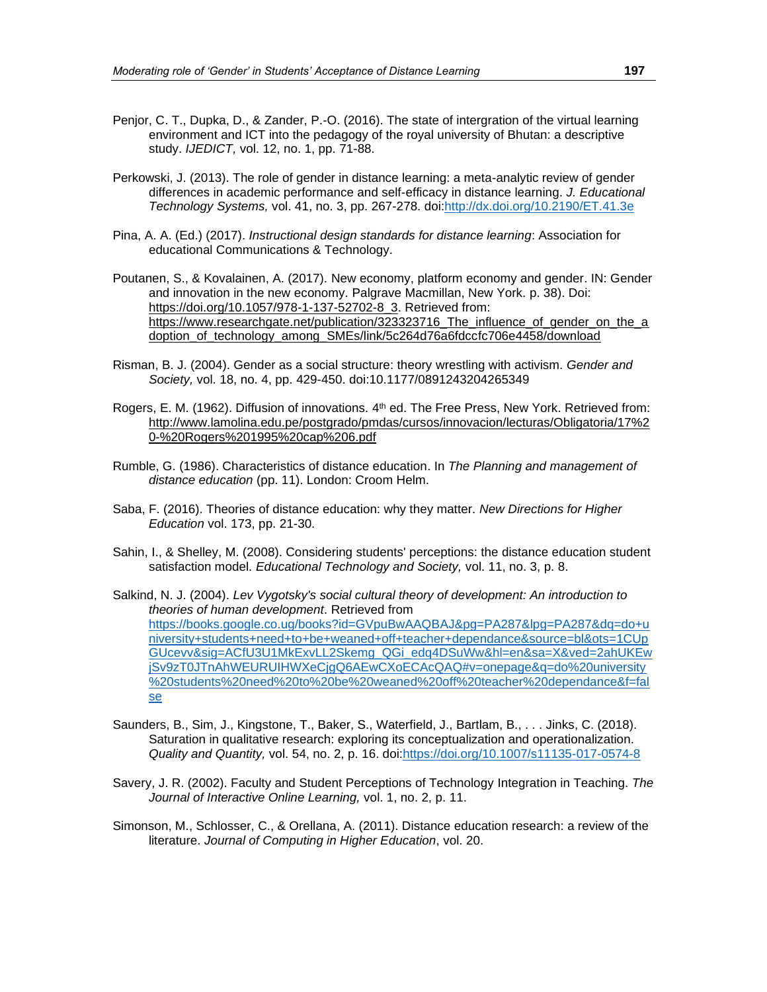- Penjor, C. T., Dupka, D., & Zander, P.-O. (2016). The state of intergration of the virtual learning environment and ICT into the pedagogy of the royal university of Bhutan: a descriptive study. *IJEDICT,* vol. 12, no. 1, pp. 71-88.
- Perkowski, J. (2013). The role of gender in distance learning: a meta-analytic review of gender differences in academic performance and self-efficacy in distance learning. *J. Educational Technology Systems,* vol. 41, no. 3, pp. 267-278. doi[:http://dx.doi.org/10.2190/ET.41.3e](http://dx.doi.org/10.2190/ET.41.3e)
- Pina, A. A. (Ed.) (2017). *Instructional design standards for distance learning*: Association for educational Communications & Technology.
- Poutanen, S., & Kovalainen, A. (2017). New economy, platform economy and gender. IN: Gender and innovation in the new economy. Palgrave Macmillan, New York. p. 38). Doi: https://doi.org/10.1057/978-1-137-52702-8 3. Retrieved from: [https://www.researchgate.net/publication/323323716\\_The\\_influence\\_of\\_gender\\_on\\_the\\_a](https://www.researchgate.net/publication/323323716_The_influence_of_gender_on_the_adoption_of_technology_among_SMEs/link/5c264d76a6fdccfc706e4458/download) [doption\\_of\\_technology\\_among\\_SMEs/link/5c264d76a6fdccfc706e4458/download](https://www.researchgate.net/publication/323323716_The_influence_of_gender_on_the_adoption_of_technology_among_SMEs/link/5c264d76a6fdccfc706e4458/download)
- Risman, B. J. (2004). Gender as a social structure: theory wrestling with activism. *Gender and Society,* vol. 18, no. 4, pp. 429-450. doi:10.1177/0891243204265349
- <span id="page-33-0"></span>Rogers, E. M. (1962). Diffusion of innovations. 4<sup>th</sup> ed. The Free Press, New York. Retrieved from: [http://www.lamolina.edu.pe/postgrado/pmdas/cursos/innovacion/lecturas/Obligatoria/17%2](http://www.lamolina.edu.pe/postgrado/pmdas/cursos/innovacion/lecturas/Obligatoria/17%20-%20Rogers%201995%20cap%206.pdf) [0-%20Rogers%201995%20cap%206.pdf](http://www.lamolina.edu.pe/postgrado/pmdas/cursos/innovacion/lecturas/Obligatoria/17%20-%20Rogers%201995%20cap%206.pdf)
- Rumble, G. (1986). Characteristics of distance education. In *The Planning and management of distance education* (pp. 11). London: Croom Helm.
- <span id="page-33-2"></span>Saba, F. (2016). Theories of distance education: why they matter. *New Directions for Higher Education* vol. 173, pp. 21-30.
- <span id="page-33-3"></span>Sahin, I., & Shelley, M. (2008). Considering students' perceptions: the distance education student satisfaction model. *Educational Technology and Society,* vol. 11, no. 3, p. 8.
- Salkind, N. J. (2004). *Lev Vygotsky's social cultural theory of development: An introduction to theories of human development*. Retrieved from [https://books.google.co.ug/books?id=GVpuBwAAQBAJ&pg=PA287&lpg=PA287&dq=do+u](https://books.google.co.ug/books?id=GVpuBwAAQBAJ&pg=PA287&lpg=PA287&dq=do+university+students+need+to+be+weaned+off+teacher+dependance&source=bl&ots=1CUpGUcevv&sig=ACfU3U1MkExvLL2Skemg_QGi_edq4DSuWw&hl=en&sa=X&ved=2ahUKEwjSv9zT0JTnAhWEURUIHWXeCjgQ6AEwCXoECAcQAQ#v=onepage&q=do%20university%20students%20need%20to%20be%20weaned%20off%20teacher%20dependance&f=false) [niversity+students+need+to+be+weaned+off+teacher+dependance&source=bl&ots=1CUp](https://books.google.co.ug/books?id=GVpuBwAAQBAJ&pg=PA287&lpg=PA287&dq=do+university+students+need+to+be+weaned+off+teacher+dependance&source=bl&ots=1CUpGUcevv&sig=ACfU3U1MkExvLL2Skemg_QGi_edq4DSuWw&hl=en&sa=X&ved=2ahUKEwjSv9zT0JTnAhWEURUIHWXeCjgQ6AEwCXoECAcQAQ#v=onepage&q=do%20university%20students%20need%20to%20be%20weaned%20off%20teacher%20dependance&f=false) [GUcevv&sig=ACfU3U1MkExvLL2Skemg\\_QGi\\_edq4DSuWw&hl=en&sa=X&ved=2ahUKEw](https://books.google.co.ug/books?id=GVpuBwAAQBAJ&pg=PA287&lpg=PA287&dq=do+university+students+need+to+be+weaned+off+teacher+dependance&source=bl&ots=1CUpGUcevv&sig=ACfU3U1MkExvLL2Skemg_QGi_edq4DSuWw&hl=en&sa=X&ved=2ahUKEwjSv9zT0JTnAhWEURUIHWXeCjgQ6AEwCXoECAcQAQ#v=onepage&q=do%20university%20students%20need%20to%20be%20weaned%20off%20teacher%20dependance&f=false) [jSv9zT0JTnAhWEURUIHWXeCjgQ6AEwCXoECAcQAQ#v=onepage&q=do%20university](https://books.google.co.ug/books?id=GVpuBwAAQBAJ&pg=PA287&lpg=PA287&dq=do+university+students+need+to+be+weaned+off+teacher+dependance&source=bl&ots=1CUpGUcevv&sig=ACfU3U1MkExvLL2Skemg_QGi_edq4DSuWw&hl=en&sa=X&ved=2ahUKEwjSv9zT0JTnAhWEURUIHWXeCjgQ6AEwCXoECAcQAQ#v=onepage&q=do%20university%20students%20need%20to%20be%20weaned%20off%20teacher%20dependance&f=false) [%20students%20need%20to%20be%20weaned%20off%20teacher%20dependance&f=fal](https://books.google.co.ug/books?id=GVpuBwAAQBAJ&pg=PA287&lpg=PA287&dq=do+university+students+need+to+be+weaned+off+teacher+dependance&source=bl&ots=1CUpGUcevv&sig=ACfU3U1MkExvLL2Skemg_QGi_edq4DSuWw&hl=en&sa=X&ved=2ahUKEwjSv9zT0JTnAhWEURUIHWXeCjgQ6AEwCXoECAcQAQ#v=onepage&q=do%20university%20students%20need%20to%20be%20weaned%20off%20teacher%20dependance&f=false) [se](https://books.google.co.ug/books?id=GVpuBwAAQBAJ&pg=PA287&lpg=PA287&dq=do+university+students+need+to+be+weaned+off+teacher+dependance&source=bl&ots=1CUpGUcevv&sig=ACfU3U1MkExvLL2Skemg_QGi_edq4DSuWw&hl=en&sa=X&ved=2ahUKEwjSv9zT0JTnAhWEURUIHWXeCjgQ6AEwCXoECAcQAQ#v=onepage&q=do%20university%20students%20need%20to%20be%20weaned%20off%20teacher%20dependance&f=false)
- Saunders, B., Sim, J., Kingstone, T., Baker, S., Waterfield, J., Bartlam, B., . . . Jinks, C. (2018). Saturation in qualitative research: exploring its conceptualization and operationalization. *Quality and Quantity,* vol. 54, no. 2, p. 16. doi[:https://doi.org/10.1007/s11135-017-0574-8](https://doi.org/10.1007/s11135-017-0574-8)
- <span id="page-33-1"></span>Savery, J. R. (2002). Faculty and Student Perceptions of Technology Integration in Teaching. *The Journal of Interactive Online Learning,* vol. 1, no. 2, p. 11.
- Simonson, M., Schlosser, C., & Orellana, A. (2011). Distance education research: a review of the literature. *Journal of Computing in Higher Education*, vol. 20.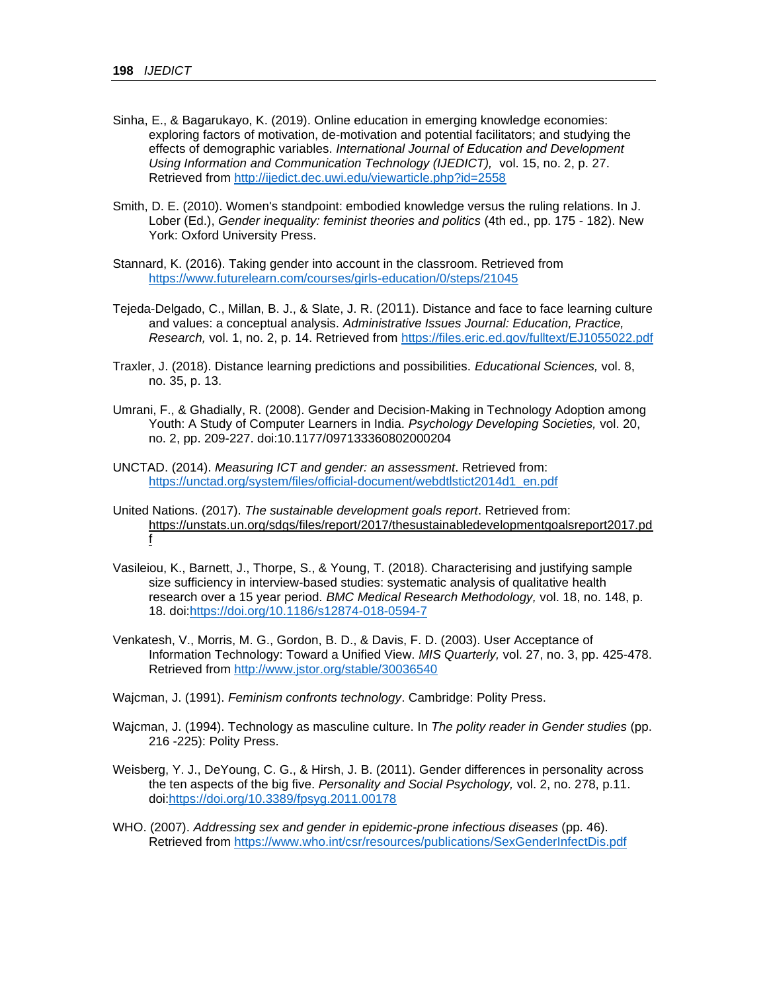- <span id="page-34-3"></span>Sinha, E., & Bagarukayo, K. (2019). Online education in emerging knowledge economies: exploring factors of motivation, de-motivation and potential facilitators; and studying the effects of demographic variables. *International Journal of Education and Development Using Information and Communication Technology (IJEDICT),* vol. 15, no. 2, p. 27. Retrieved from<http://ijedict.dec.uwi.edu/viewarticle.php?id=2558>
- <span id="page-34-1"></span>Smith, D. E. (2010). Women's standpoint: embodied knowledge versus the ruling relations. In J. Lober (Ed.), *Gender inequality: feminist theories and politics* (4th ed., pp. 175 - 182). New York: Oxford University Press.
- Stannard, K. (2016). Taking gender into account in the classroom. Retrieved from <https://www.futurelearn.com/courses/girls-education/0/steps/21045>
- <span id="page-34-2"></span>Tejeda-Delgado, C., Millan, B. J., & Slate, J. R. (2011). Distance and face to face learning culture and values: a conceptual analysis. *Administrative Issues Journal: Education, Practice, Research,* vol. 1, no. 2, p. 14. Retrieved from<https://files.eric.ed.gov/fulltext/EJ1055022.pdf>
- Traxler, J. (2018). Distance learning predictions and possibilities. *Educational Sciences,* vol. 8, no. 35, p. 13.
- Umrani, F., & Ghadially, R. (2008). Gender and Decision-Making in Technology Adoption among Youth: A Study of Computer Learners in India. *Psychology Developing Societies,* vol. 20, no. 2, pp. 209-227. doi:10.1177/097133360802000204
- <span id="page-34-0"></span>UNCTAD. (2014). *Measuring ICT and gender: an assessment*. Retrieved from: [https://unctad.org/system/files/official-document/webdtlstict2014d1\\_en.pdf](https://unctad.org/system/files/official-document/webdtlstict2014d1_en.pdf)
- United Nations. (2017). *The sustainable development goals report*. Retrieved from: [https://unstats.un.org/sdgs/files/report/2017/thesustainabledevelopmentgoalsreport2017.pd](https://unstats.un.org/sdgs/files/report/2017/thesustainabledevelopmentgoalsreport2017.pdf) [f](https://unstats.un.org/sdgs/files/report/2017/thesustainabledevelopmentgoalsreport2017.pdf)
- <span id="page-34-4"></span>Vasileiou, K., Barnett, J., Thorpe, S., & Young, T. (2018). Characterising and justifying sample size sufficiency in interview-based studies: systematic analysis of qualitative health research over a 15 year period. *BMC Medical Research Methodology,* vol. 18, no. 148, p. 18. doi[:https://doi.org/10.1186/s12874-018-0594-7](https://doi.org/10.1186/s12874-018-0594-7)
- Venkatesh, V., Morris, M. G., Gordon, B. D., & Davis, F. D. (2003). User Acceptance of Information Technology: Toward a Unified View. *MIS Quarterly,* vol. 27, no. 3, pp. 425-478. Retrieved from<http://www.jstor.org/stable/30036540>

Wajcman, J. (1991). *Feminism confronts technology*. Cambridge: Polity Press.

- <span id="page-34-5"></span>Wajcman, J. (1994). Technology as masculine culture. In *The polity reader in Gender studies* (pp. 216 -225): Polity Press.
- Weisberg, Y. J., DeYoung, C. G., & Hirsh, J. B. (2011). Gender differences in personality across the ten aspects of the big five. *Personality and Social Psychology,* vol. 2, no. 278, p.11. doi[:https://doi.org/10.3389/fpsyg.2011.00178](https://doi.org/10.3389/fpsyg.2011.00178)
- WHO. (2007). *Addressing sex and gender in epidemic-prone infectious diseases* (pp. 46). Retrieved from<https://www.who.int/csr/resources/publications/SexGenderInfectDis.pdf>